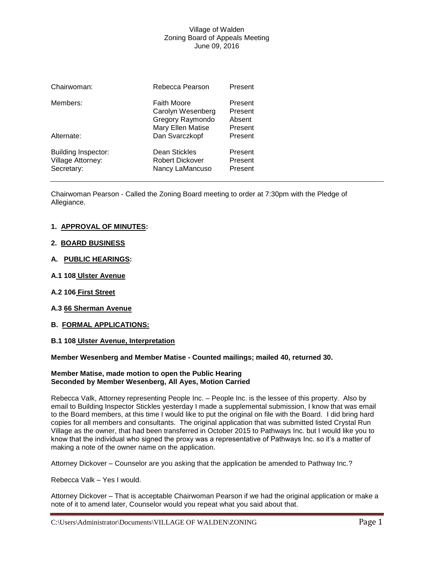| Chairwoman:                                                   | Rebecca Pearson                                                                         | Present                                 |
|---------------------------------------------------------------|-----------------------------------------------------------------------------------------|-----------------------------------------|
| Members:                                                      | <b>Faith Moore</b><br>Carolyn Wesenberg<br><b>Gregory Raymondo</b><br>Mary Ellen Matise | Present<br>Present<br>Absent<br>Present |
| Alternate:                                                    | Dan Svarczkopf                                                                          | Present                                 |
| <b>Building Inspector:</b><br>Village Attorney:<br>Secretary: | Dean Stickles<br><b>Robert Dickover</b><br>Nancy LaMancuso                              | Present<br>Present<br>Present           |

Chairwoman Pearson - Called the Zoning Board meeting to order at 7:30pm with the Pledge of Allegiance.

# **1. APPROVAL OF MINUTES:**

## **2. BOARD BUSINESS**

- **A. PUBLIC HEARINGS:**
- **A.1 108 Ulster Avenue**
- **A.2 106 First Street**
- **A.3 66 Sherman Avenue**

#### **B. FORMAL APPLICATIONS:**

#### **B.1 108 Ulster Avenue, Interpretation**

## **Member Wesenberg and Member Matise - Counted mailings; mailed 40, returned 30.**

#### **Member Matise, made motion to open the Public Hearing Seconded by Member Wesenberg, All Ayes, Motion Carried**

Rebecca Valk, Attorney representing People Inc. – People Inc. is the lessee of this property. Also by email to Building Inspector Stickles yesterday I made a supplemental submission, I know that was email to the Board members, at this time I would like to put the original on file with the Board. I did bring hard copies for all members and consultants. The original application that was submitted listed Crystal Run Village as the owner, that had been transferred in October 2015 to Pathways Inc. but I would like you to know that the individual who signed the proxy was a representative of Pathways Inc. so it's a matter of making a note of the owner name on the application.

Attorney Dickover – Counselor are you asking that the application be amended to Pathway Inc.?

Rebecca Valk – Yes I would.

Attorney Dickover – That is acceptable Chairwoman Pearson if we had the original application or make a note of it to amend later, Counselor would you repeat what you said about that.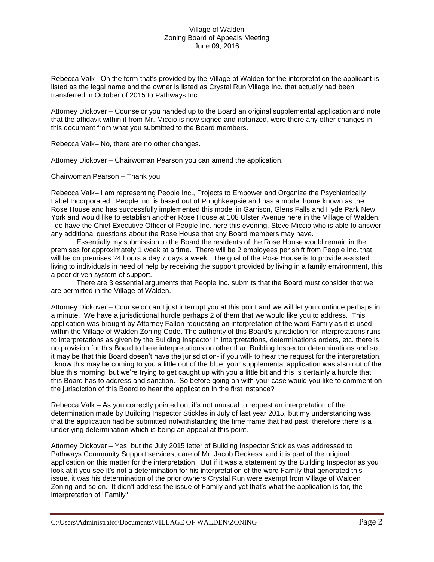Rebecca Valk– On the form that's provided by the Village of Walden for the interpretation the applicant is listed as the legal name and the owner is listed as Crystal Run Village Inc. that actually had been transferred in October of 2015 to Pathways Inc.

Attorney Dickover – Counselor you handed up to the Board an original supplemental application and note that the affidavit within it from Mr. Miccio is now signed and notarized, were there any other changes in this document from what you submitted to the Board members.

Rebecca Valk– No, there are no other changes.

Attorney Dickover – Chairwoman Pearson you can amend the application.

Chairwoman Pearson – Thank you.

Rebecca Valk– I am representing People Inc., Projects to Empower and Organize the Psychiatrically Label Incorporated. People Inc. is based out of Poughkeepsie and has a model home known as the Rose House and has successfully implemented this model in Garrison, Glens Falls and Hyde Park New York and would like to establish another Rose House at 108 Ulster Avenue here in the Village of Walden. I do have the Chief Executive Officer of People Inc. here this evening, Steve Miccio who is able to answer any additional questions about the Rose House that any Board members may have.

Essentially my submission to the Board the residents of the Rose House would remain in the premises for approximately 1 week at a time. There will be 2 employees per shift from People Inc. that will be on premises 24 hours a day 7 days a week. The goal of the Rose House is to provide assisted living to individuals in need of help by receiving the support provided by living in a family environment, this a peer driven system of support.

There are 3 essential arguments that People Inc. submits that the Board must consider that we are permitted in the Village of Walden.

Attorney Dickover – Counselor can I just interrupt you at this point and we will let you continue perhaps in a minute. We have a jurisdictional hurdle perhaps 2 of them that we would like you to address. This application was brought by Attorney Fallon requesting an interpretation of the word Family as it is used within the Village of Walden Zoning Code. The authority of this Board's jurisdiction for interpretations runs to interpretations as given by the Building Inspector in interpretations, determinations orders, etc. there is no provision for this Board to here interpretations on other than Building Inspector determinations and so it may be that this Board doesn't have the jurisdiction- if you will- to hear the request for the interpretation. I know this may be coming to you a little out of the blue, your supplemental application was also out of the blue this morning, but we're trying to get caught up with you a little bit and this is certainly a hurdle that this Board has to address and sanction. So before going on with your case would you like to comment on the jurisdiction of this Board to hear the application in the first instance?

Rebecca Valk – As you correctly pointed out it's not unusual to request an interpretation of the determination made by Building Inspector Stickles in July of last year 2015, but my understanding was that the application had be submitted notwithstanding the time frame that had past, therefore there is a underlying determination which is being an appeal at this point.

Attorney Dickover – Yes, but the July 2015 letter of Building Inspector Stickles was addressed to Pathways Community Support services, care of Mr. Jacob Reckess, and it is part of the original application on this matter for the interpretation. But if it was a statement by the Building Inspector as you look at it you see it's not a determination for his interpretation of the word Family that generated this issue, it was his determination of the prior owners Crystal Run were exempt from Village of Walden Zoning and so on. It didn't address the issue of Family and yet that's what the application is for, the interpretation of "Family".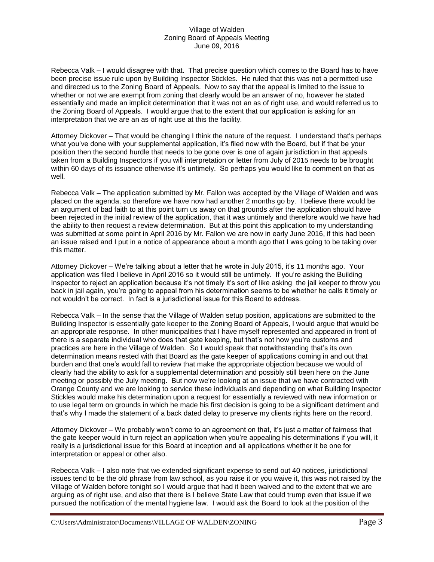Rebecca Valk – I would disagree with that. That precise question which comes to the Board has to have been precise issue rule upon by Building Inspector Stickles. He ruled that this was not a permitted use and directed us to the Zoning Board of Appeals. Now to say that the appeal is limited to the issue to whether or not we are exempt from zoning that clearly would be an answer of no, however he stated essentially and made an implicit determination that it was not an as of right use, and would referred us to the Zoning Board of Appeals. I would argue that to the extent that our application is asking for an interpretation that we are an as of right use at this the facility.

Attorney Dickover – That would be changing I think the nature of the request. I understand that's perhaps what you've done with your supplemental application, it's filed now with the Board, but if that be your position then the second hurdle that needs to be gone over is one of again jurisdiction in that appeals taken from a Building Inspectors if you will interpretation or letter from July of 2015 needs to be brought within 60 days of its issuance otherwise it's untimely. So perhaps you would like to comment on that as well.

Rebecca Valk – The application submitted by Mr. Fallon was accepted by the Village of Walden and was placed on the agenda, so therefore we have now had another 2 months go by. I believe there would be an argument of bad faith to at this point turn us away on that grounds after the application should have been rejected in the initial review of the application, that it was untimely and therefore would we have had the ability to then request a review determination. But at this point this application to my understanding was submitted at some point in April 2016 by Mr. Fallon we are now in early June 2016, if this had been an issue raised and I put in a notice of appearance about a month ago that I was going to be taking over this matter.

Attorney Dickover – We're talking about a letter that he wrote in July 2015, it's 11 months ago. Your application was filed I believe in April 2016 so it would still be untimely. If you're asking the Building Inspector to reject an application because it's not timely it's sort of like asking the jail keeper to throw you back in jail again, you're going to appeal from his determination seems to be whether he calls it timely or not wouldn't be correct. In fact is a jurisdictional issue for this Board to address.

Rebecca Valk – In the sense that the Village of Walden setup position, applications are submitted to the Building Inspector is essentially gate keeper to the Zoning Board of Appeals, I would argue that would be an appropriate response. In other municipalities that I have myself represented and appeared in front of there is a separate individual who does that gate keeping, but that's not how you're customs and practices are here in the Village of Walden. So I would speak that notwithstanding that's its own determination means rested with that Board as the gate keeper of applications coming in and out that burden and that one's would fall to review that make the appropriate objection because we would of clearly had the ability to ask for a supplemental determination and possibly still been here on the June meeting or possibly the July meeting. But now we're looking at an issue that we have contracted with Orange County and we are looking to service these individuals and depending on what Building Inspector Stickles would make his determination upon a request for essentially a reviewed with new information or to use legal term on grounds in which he made his first decision is going to be a significant detriment and that's why I made the statement of a back dated delay to preserve my clients rights here on the record.

Attorney Dickover – We probably won't come to an agreement on that, it's just a matter of fairness that the gate keeper would in turn reject an application when you're appealing his determinations if you will, it really is a jurisdictional issue for this Board at inception and all applications whether it be one for interpretation or appeal or other also.

Rebecca Valk – I also note that we extended significant expense to send out 40 notices, jurisdictional issues tend to be the old phrase from law school, as you raise it or you waive it, this was not raised by the Village of Walden before tonight so I would argue that had it been waived and to the extent that we are arguing as of right use, and also that there is I believe State Law that could trump even that issue if we pursued the notification of the mental hygiene law. I would ask the Board to look at the position of the

C:\Users\Administrator\Documents\VILLAGE OF WALDEN\ZONING Page 3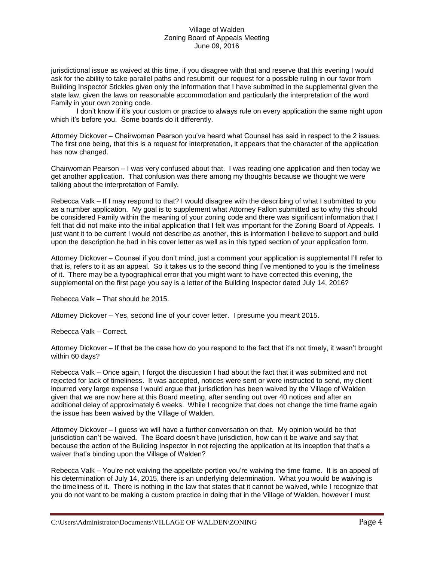jurisdictional issue as waived at this time, if you disagree with that and reserve that this evening I would ask for the ability to take parallel paths and resubmit our request for a possible ruling in our favor from Building Inspector Stickles given only the information that I have submitted in the supplemental given the state law, given the laws on reasonable accommodation and particularly the interpretation of the word Family in your own zoning code.

I don't know if it's your custom or practice to always rule on every application the same night upon which it's before you. Some boards do it differently.

Attorney Dickover – Chairwoman Pearson you've heard what Counsel has said in respect to the 2 issues. The first one being, that this is a request for interpretation, it appears that the character of the application has now changed.

Chairwoman Pearson – I was very confused about that. I was reading one application and then today we get another application. That confusion was there among my thoughts because we thought we were talking about the interpretation of Family.

Rebecca Valk – If I may respond to that? I would disagree with the describing of what I submitted to you as a number application. My goal is to supplement what Attorney Fallon submitted as to why this should be considered Family within the meaning of your zoning code and there was significant information that I felt that did not make into the initial application that I felt was important for the Zoning Board of Appeals. I just want it to be current I would not describe as another, this is information I believe to support and build upon the description he had in his cover letter as well as in this typed section of your application form.

Attorney Dickover – Counsel if you don't mind, just a comment your application is supplemental I'll refer to that is, refers to it as an appeal. So it takes us to the second thing I've mentioned to you is the timeliness of it. There may be a typographical error that you might want to have corrected this evening, the supplemental on the first page you say is a letter of the Building Inspector dated July 14, 2016?

Rebecca Valk – That should be 2015.

Attorney Dickover – Yes, second line of your cover letter. I presume you meant 2015.

Rebecca Valk – Correct.

Attorney Dickover – If that be the case how do you respond to the fact that it's not timely, it wasn't brought within 60 days?

Rebecca Valk – Once again, I forgot the discussion I had about the fact that it was submitted and not rejected for lack of timeliness. It was accepted, notices were sent or were instructed to send, my client incurred very large expense I would argue that jurisdiction has been waived by the Village of Walden given that we are now here at this Board meeting, after sending out over 40 notices and after an additional delay of approximately 6 weeks. While I recognize that does not change the time frame again the issue has been waived by the Village of Walden.

Attorney Dickover – I guess we will have a further conversation on that. My opinion would be that jurisdiction can't be waived. The Board doesn't have jurisdiction, how can it be waive and say that because the action of the Building Inspector in not rejecting the application at its inception that that's a waiver that's binding upon the Village of Walden?

Rebecca Valk – You're not waiving the appellate portion you're waiving the time frame. It is an appeal of his determination of July 14, 2015, there is an underlying determination. What you would be waiving is the timeliness of it. There is nothing in the law that states that it cannot be waived, while I recognize that you do not want to be making a custom practice in doing that in the Village of Walden, however I must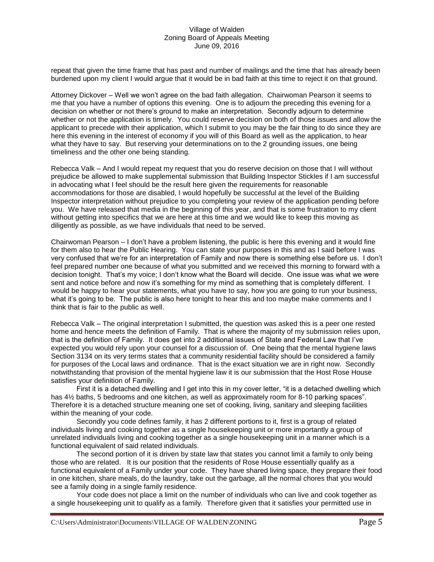repeat that given the time frame that has past and number of mailings and the time that has already been burdened upon my client I would argue that it would be in bad faith at this time to reject it on that ground.

Attorney Dickover – Well we won't agree on the bad faith allegation. Chairwoman Pearson it seems to me that you have a number of options this evening. One is to adjourn the preceding this evening for a decision on whether or not there's ground to make an interpretation. Secondly adjourn to determine whether or not the application is timely. You could reserve decision on both of those issues and allow the applicant to precede with their application, which I submit to you may be the fair thing to do since they are here this evening in the interest of economy if you will of this Board as well as the application, to hear what they have to say. But reserving your determinations on to the 2 grounding issues, one being timeliness and the other one being standing.

Rebecca Valk – And I would repeat my request that you do reserve decision on those that I will without prejudice be allowed to make supplemental submission that Building Inspector Stickles if I am successful in advocating what I feel should be the result here given the requirements for reasonable accommodations for those are disabled, I would hopefully be successful at the level of the Building Inspector interpretation without prejudice to you completing your review of the application pending before you. We have released that media in the beginning of this year, and that is some frustration to my client without getting into specifics that we are here at this time and we would like to keep this moving as diligently as possible, as we have individuals that need to be served.

Chairwoman Pearson – I don't have a problem listening, the public is here this evening and it would fine for them also to hear the Public Hearing. You can state your purposes in this and as I said before I was very confused that we're for an interpretation of Family and now there is something else before us. I don't feel prepared number one because of what you submitted and we received this morning to forward with a decision tonight. That's my voice; I don't know what the Board will decide. One issue was what we were sent and notice before and now it's something for my mind as something that is completely different. I would be happy to hear your statements, what you have to say, how you are going to run your business, what it's going to be. The public is also here tonight to hear this and too maybe make comments and I think that is fair to the public as well.

Rebecca Valk – The original interpretation I submitted, the question was asked this is a peer one rested home and hence meets the definition of Family. That is where the majority of my submission relies upon, that is the definition of Family. It does get into 2 additional issues of State and Federal Law that I've expected you would rely upon your counsel for a discussion of. One being that the mental hygiene laws Section 3134 on its very terms states that a community residential facility should be considered a family for purposes of the Local laws and ordinance. That is the exact situation we are in right now. Secondly notwithstanding that provision of the mental hygiene law it is our submission that the Host Rose House satisfies your definition of Family.

First it is a detached dwelling and I get into this in my cover letter, "it is a detached dwelling which has 4<sup>1</sup>/<sub>2</sub> baths, 5 bedrooms and one kitchen, as well as approximately room for 8-10 parking spaces". Therefore it is a detached structure meaning one set of cooking, living, sanitary and sleeping facilities within the meaning of your code.

Secondly you code defines family, it has 2 different portions to it, first is a group of related individuals living and cooking together as a single housekeeping unit or more importantly a group of unrelated individuals living and cooking together as a single housekeeping unit in a manner which is a functional equivalent of said related individuals.

The second portion of it is driven by state law that states you cannot limit a family to only being those who are related. It is our position that the residents of Rose House essentially qualify as a functional equivalent of a Family under your code. They have shared living space, they prepare their food in one kitchen, share meals, do the laundry, take out the garbage, all the normal chores that you would see a family doing in a single family residence.

Your code does not place a limit on the number of individuals who can live and cook together as a single housekeeping unit to qualify as a family. Therefore given that it satisfies your permitted use in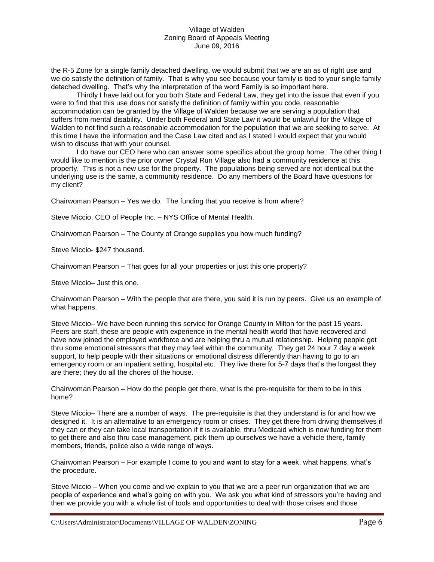the R-5 Zone for a single family detached dwelling, we would submit that we are an as of right use and we do satisfy the definition of family. That is why you see because your family is tied to your single family detached dwelling. That's why the interpretation of the word Family is so important here.

Thirdly I have laid out for you both State and Federal Law, they get into the issue that even if you were to find that this use does not satisfy the definition of family within you code, reasonable accommodation can be granted by the Village of Walden because we are serving a population that suffers from mental disability. Under both Federal and State Law it would be unlawful for the Village of Walden to not find such a reasonable accommodation for the population that we are seeking to serve. At this time I have the information and the Case Law cited and as I stated I would expect that you would wish to discuss that with your counsel.

I do have our CEO here who can answer some specifics about the group home. The other thing I would like to mention is the prior owner Crystal Run Village also had a community residence at this property. This is not a new use for the property. The populations being served are not identical but the underlying use is the same, a community residence. Do any members of the Board have questions for my client?

Chairwoman Pearson – Yes we do. The funding that you receive is from where?

Steve Miccio, CEO of People Inc. – NYS Office of Mental Health.

Chairwoman Pearson – The County of Orange supplies you how much funding?

Steve Miccio- \$247 thousand.

Chairwoman Pearson – That goes for all your properties or just this one property?

Steve Miccio– Just this one.

Chairwoman Pearson – With the people that are there, you said it is run by peers. Give us an example of what happens.

Steve Miccio– We have been running this service for Orange County in Milton for the past 15 years. Peers are staff, these are people with experience in the mental health world that have recovered and have now joined the employed workforce and are helping thru a mutual relationship. Helping people get thru some emotional stressors that they may feel within the community. They get 24 hour 7 day a week support, to help people with their situations or emotional distress differently than having to go to an emergency room or an inpatient setting, hospital etc. They live there for 5-7 days that's the longest they are there; they do all the chores of the house.

Chairwoman Pearson – How do the people get there, what is the pre-requisite for them to be in this home?

Steve Miccio– There are a number of ways. The pre-requisite is that they understand is for and how we designed it. It is an alternative to an emergency room or crises. They get there from driving themselves if they can or they can take local transportation if it is available, thru Medicaid which is now funding for them to get there and also thru case management, pick them up ourselves we have a vehicle there, family members, friends, police also a wide range of ways.

Chairwoman Pearson – For example I come to you and want to stay for a week, what happens, what's the procedure.

Steve Miccio – When you come and we explain to you that we are a peer run organization that we are people of experience and what's going on with you. We ask you what kind of stressors you're having and then we provide you with a whole list of tools and opportunities to deal with those crises and those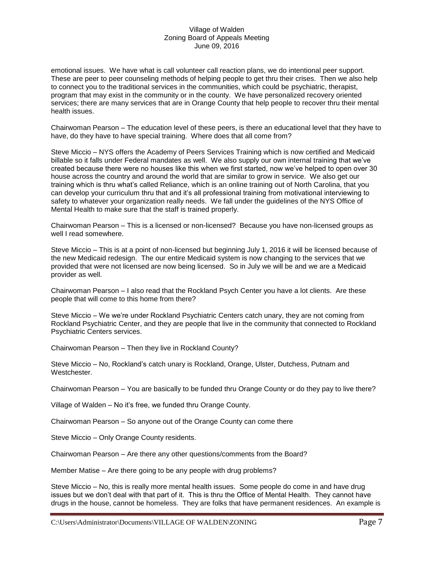emotional issues. We have what is call volunteer call reaction plans, we do intentional peer support. These are peer to peer counseling methods of helping people to get thru their crises. Then we also help to connect you to the traditional services in the communities, which could be psychiatric, therapist, program that may exist in the community or in the county. We have personalized recovery oriented services; there are many services that are in Orange County that help people to recover thru their mental health issues.

Chairwoman Pearson – The education level of these peers, is there an educational level that they have to have, do they have to have special training. Where does that all come from?

Steve Miccio – NYS offers the Academy of Peers Services Training which is now certified and Medicaid billable so it falls under Federal mandates as well. We also supply our own internal training that we've created because there were no houses like this when we first started, now we've helped to open over 30 house across the country and around the world that are similar to grow in service. We also get our training which is thru what's called Reliance, which is an online training out of North Carolina, that you can develop your curriculum thru that and it's all professional training from motivational interviewing to safety to whatever your organization really needs. We fall under the guidelines of the NYS Office of Mental Health to make sure that the staff is trained properly.

Chairwoman Pearson – This is a licensed or non-licensed? Because you have non-licensed groups as well I read somewhere.

Steve Miccio – This is at a point of non-licensed but beginning July 1, 2016 it will be licensed because of the new Medicaid redesign. The our entire Medicaid system is now changing to the services that we provided that were not licensed are now being licensed. So in July we will be and we are a Medicaid provider as well.

Chairwoman Pearson – I also read that the Rockland Psych Center you have a lot clients. Are these people that will come to this home from there?

Steve Miccio – We we're under Rockland Psychiatric Centers catch unary, they are not coming from Rockland Psychiatric Center, and they are people that live in the community that connected to Rockland Psychiatric Centers services.

Chairwoman Pearson – Then they live in Rockland County?

Steve Miccio – No, Rockland's catch unary is Rockland, Orange, Ulster, Dutchess, Putnam and Westchester.

Chairwoman Pearson – You are basically to be funded thru Orange County or do they pay to live there?

Village of Walden – No it's free, we funded thru Orange County.

Chairwoman Pearson – So anyone out of the Orange County can come there

Steve Miccio – Only Orange County residents.

Chairwoman Pearson – Are there any other questions/comments from the Board?

Member Matise – Are there going to be any people with drug problems?

Steve Miccio – No, this is really more mental health issues. Some people do come in and have drug issues but we don't deal with that part of it. This is thru the Office of Mental Health. They cannot have drugs in the house, cannot be homeless. They are folks that have permanent residences. An example is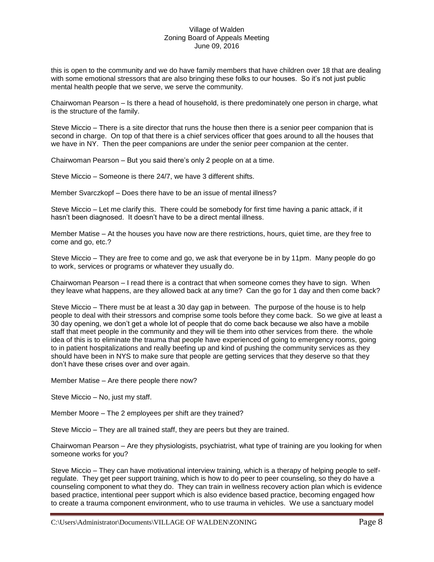this is open to the community and we do have family members that have children over 18 that are dealing with some emotional stressors that are also bringing these folks to our houses. So it's not just public mental health people that we serve, we serve the community.

Chairwoman Pearson – Is there a head of household, is there predominately one person in charge, what is the structure of the family.

Steve Miccio – There is a site director that runs the house then there is a senior peer companion that is second in charge. On top of that there is a chief services officer that goes around to all the houses that we have in NY. Then the peer companions are under the senior peer companion at the center.

Chairwoman Pearson – But you said there's only 2 people on at a time.

Steve Miccio – Someone is there 24/7, we have 3 different shifts.

Member Svarczkopf – Does there have to be an issue of mental illness?

Steve Miccio – Let me clarify this. There could be somebody for first time having a panic attack, if it hasn't been diagnosed. It doesn't have to be a direct mental illness.

Member Matise – At the houses you have now are there restrictions, hours, quiet time, are they free to come and go, etc.?

Steve Miccio – They are free to come and go, we ask that everyone be in by 11pm. Many people do go to work, services or programs or whatever they usually do.

Chairwoman Pearson – I read there is a contract that when someone comes they have to sign. When they leave what happens, are they allowed back at any time? Can the go for 1 day and then come back?

Steve Miccio – There must be at least a 30 day gap in between. The purpose of the house is to help people to deal with their stressors and comprise some tools before they come back. So we give at least a 30 day opening, we don't get a whole lot of people that do come back because we also have a mobile staff that meet people in the community and they will tie them into other services from there. the whole idea of this is to eliminate the trauma that people have experienced of going to emergency rooms, going to in patient hospitalizations and really beefing up and kind of pushing the community services as they should have been in NYS to make sure that people are getting services that they deserve so that they don't have these crises over and over again.

Member Matise – Are there people there now?

Steve Miccio – No, just my staff.

Member Moore – The 2 employees per shift are they trained?

Steve Miccio – They are all trained staff, they are peers but they are trained.

Chairwoman Pearson – Are they physiologists, psychiatrist, what type of training are you looking for when someone works for you?

Steve Miccio – They can have motivational interview training, which is a therapy of helping people to selfregulate. They get peer support training, which is how to do peer to peer counseling, so they do have a counseling component to what they do. They can train in wellness recovery action plan which is evidence based practice, intentional peer support which is also evidence based practice, becoming engaged how to create a trauma component environment, who to use trauma in vehicles. We use a sanctuary model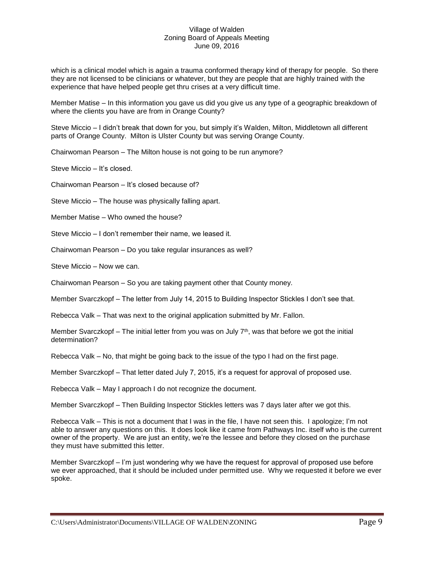which is a clinical model which is again a trauma conformed therapy kind of therapy for people. So there they are not licensed to be clinicians or whatever, but they are people that are highly trained with the experience that have helped people get thru crises at a very difficult time.

Member Matise – In this information you gave us did you give us any type of a geographic breakdown of where the clients you have are from in Orange County?

Steve Miccio – I didn't break that down for you, but simply it's Walden, Milton, Middletown all different parts of Orange County. Milton is Ulster County but was serving Orange County.

Chairwoman Pearson – The Milton house is not going to be run anymore?

Steve Miccio – It's closed.

Chairwoman Pearson – It's closed because of?

Steve Miccio – The house was physically falling apart.

Member Matise – Who owned the house?

Steve Miccio – I don't remember their name, we leased it.

Chairwoman Pearson – Do you take regular insurances as well?

Steve Miccio – Now we can.

Chairwoman Pearson – So you are taking payment other that County money.

Member Svarczkopf – The letter from July 14, 2015 to Building Inspector Stickles I don't see that.

Rebecca Valk – That was next to the original application submitted by Mr. Fallon.

Member Svarczkopf – The initial letter from you was on July  $7<sup>th</sup>$ , was that before we got the initial determination?

Rebecca Valk – No, that might be going back to the issue of the typo I had on the first page.

Member Svarczkopf – That letter dated July 7, 2015, it's a request for approval of proposed use.

Rebecca Valk – May I approach I do not recognize the document.

Member Svarczkopf – Then Building Inspector Stickles letters was 7 days later after we got this.

Rebecca Valk – This is not a document that I was in the file, I have not seen this. I apologize; I'm not able to answer any questions on this. It does look like it came from Pathways Inc. itself who is the current owner of the property. We are just an entity, we're the lessee and before they closed on the purchase they must have submitted this letter.

Member Svarczkopf – I'm just wondering why we have the request for approval of proposed use before we ever approached, that it should be included under permitted use. Why we requested it before we ever spoke.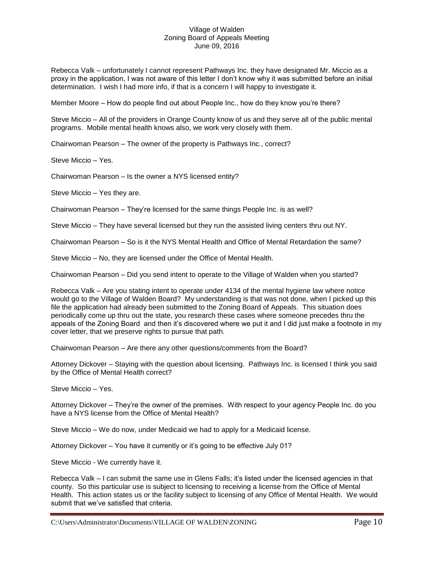Rebecca Valk – unfortunately I cannot represent Pathways Inc. they have designated Mr. Miccio as a proxy in the application, I was not aware of this letter I don't know why it was submitted before an initial determination. I wish I had more info, if that is a concern I will happy to investigate it.

Member Moore – How do people find out about People Inc., how do they know you're there?

Steve Miccio – All of the providers in Orange County know of us and they serve all of the public mental programs. Mobile mental health knows also, we work very closely with them.

Chairwoman Pearson – The owner of the property is Pathways Inc., correct?

Steve Miccio – Yes.

Chairwoman Pearson – Is the owner a NYS licensed entity?

Steve Miccio – Yes they are.

Chairwoman Pearson – They're licensed for the same things People Inc. is as well?

Steve Miccio – They have several licensed but they run the assisted living centers thru out NY.

Chairwoman Pearson – So is it the NYS Mental Health and Office of Mental Retardation the same?

Steve Miccio – No, they are licensed under the Office of Mental Health.

Chairwoman Pearson – Did you send intent to operate to the Village of Walden when you started?

Rebecca Valk – Are you stating intent to operate under 4134 of the mental hygiene law where notice would go to the Village of Walden Board? My understanding is that was not done, when I picked up this file the application had already been submitted to the Zoning Board of Appeals. This situation does periodically come up thru out the state, you research these cases where someone precedes thru the appeals of the Zoning Board and then it's discovered where we put it and I did just make a footnote in my cover letter, that we preserve rights to pursue that path.

Chairwoman Pearson – Are there any other questions/comments from the Board?

Attorney Dickover – Staying with the question about licensing. Pathways Inc. is licensed I think you said by the Office of Mental Health correct?

Steve Miccio – Yes.

Attorney Dickover – They're the owner of the premises. With respect to your agency People Inc. do you have a NYS license from the Office of Mental Health?

Steve Miccio – We do now, under Medicaid we had to apply for a Medicaid license.

Attorney Dickover – You have it currently or it's going to be effective July 01?

Steve Miccio - We currently have it.

Rebecca Valk – I can submit the same use in Glens Falls; it's listed under the licensed agencies in that county. So this particular use is subject to licensing to receiving a license from the Office of Mental Health. This action states us or the facility subject to licensing of any Office of Mental Health. We would submit that we've satisfied that criteria.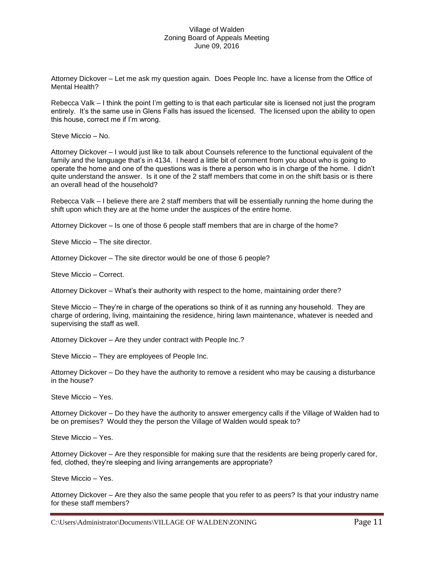Attorney Dickover – Let me ask my question again. Does People Inc. have a license from the Office of Mental Health?

Rebecca Valk – I think the point I'm getting to is that each particular site is licensed not just the program entirely. It's the same use in Glens Falls has issued the licensed. The licensed upon the ability to open this house, correct me if I'm wrong.

Steve Miccio – No.

Attorney Dickover – I would just like to talk about Counsels reference to the functional equivalent of the family and the language that's in 4134. I heard a little bit of comment from you about who is going to operate the home and one of the questions was is there a person who is in charge of the home. I didn't quite understand the answer. Is it one of the 2 staff members that come in on the shift basis or is there an overall head of the household?

Rebecca Valk – I believe there are 2 staff members that will be essentially running the home during the shift upon which they are at the home under the auspices of the entire home.

Attorney Dickover – Is one of those 6 people staff members that are in charge of the home?

Steve Miccio – The site director.

Attorney Dickover – The site director would be one of those 6 people?

Steve Miccio – Correct.

Attorney Dickover – What's their authority with respect to the home, maintaining order there?

Steve Miccio – They're in charge of the operations so think of it as running any household. They are charge of ordering, living, maintaining the residence, hiring lawn maintenance, whatever is needed and supervising the staff as well.

Attorney Dickover – Are they under contract with People Inc.?

Steve Miccio – They are employees of People Inc.

Attorney Dickover – Do they have the authority to remove a resident who may be causing a disturbance in the house?

Steve Miccio – Yes.

Attorney Dickover – Do they have the authority to answer emergency calls if the Village of Walden had to be on premises? Would they the person the Village of Walden would speak to?

Steve Miccio – Yes.

Attorney Dickover – Are they responsible for making sure that the residents are being properly cared for, fed, clothed, they're sleeping and living arrangements are appropriate?

Steve Miccio – Yes.

Attorney Dickover – Are they also the same people that you refer to as peers? Is that your industry name for these staff members?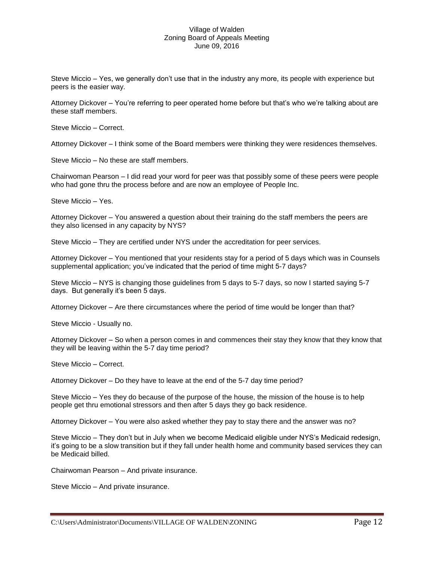Steve Miccio – Yes, we generally don't use that in the industry any more, its people with experience but peers is the easier way.

Attorney Dickover – You're referring to peer operated home before but that's who we're talking about are these staff members.

Steve Miccio – Correct.

Attorney Dickover – I think some of the Board members were thinking they were residences themselves.

Steve Miccio – No these are staff members.

Chairwoman Pearson – I did read your word for peer was that possibly some of these peers were people who had gone thru the process before and are now an employee of People Inc.

Steve Miccio – Yes.

Attorney Dickover – You answered a question about their training do the staff members the peers are they also licensed in any capacity by NYS?

Steve Miccio – They are certified under NYS under the accreditation for peer services.

Attorney Dickover – You mentioned that your residents stay for a period of 5 days which was in Counsels supplemental application; you've indicated that the period of time might 5-7 days?

Steve Miccio – NYS is changing those guidelines from 5 days to 5-7 days, so now I started saying 5-7 days. But generally it's been 5 days.

Attorney Dickover – Are there circumstances where the period of time would be longer than that?

Steve Miccio - Usually no.

Attorney Dickover – So when a person comes in and commences their stay they know that they know that they will be leaving within the 5-7 day time period?

Steve Miccio – Correct.

Attorney Dickover – Do they have to leave at the end of the 5-7 day time period?

Steve Miccio – Yes they do because of the purpose of the house, the mission of the house is to help people get thru emotional stressors and then after 5 days they go back residence.

Attorney Dickover – You were also asked whether they pay to stay there and the answer was no?

Steve Miccio – They don't but in July when we become Medicaid eligible under NYS's Medicaid redesign, it's going to be a slow transition but if they fall under health home and community based services they can be Medicaid billed.

Chairwoman Pearson – And private insurance.

Steve Miccio – And private insurance.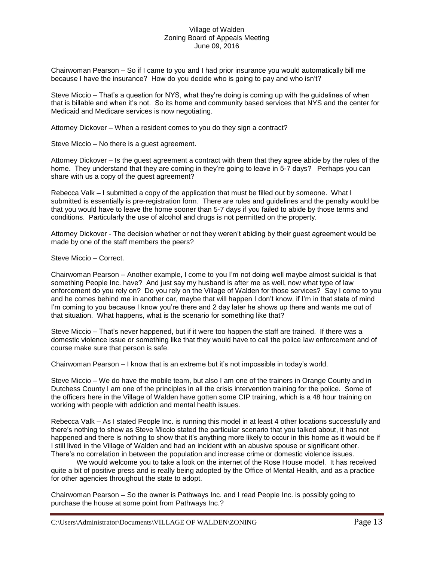Chairwoman Pearson – So if I came to you and I had prior insurance you would automatically bill me because I have the insurance? How do you decide who is going to pay and who isn't?

Steve Miccio – That's a question for NYS, what they're doing is coming up with the guidelines of when that is billable and when it's not. So its home and community based services that NYS and the center for Medicaid and Medicare services is now negotiating.

Attorney Dickover – When a resident comes to you do they sign a contract?

Steve Miccio – No there is a guest agreement.

Attorney Dickover – Is the guest agreement a contract with them that they agree abide by the rules of the home. They understand that they are coming in they're going to leave in 5-7 days? Perhaps you can share with us a copy of the guest agreement?

Rebecca Valk – I submitted a copy of the application that must be filled out by someone. What I submitted is essentially is pre-registration form. There are rules and guidelines and the penalty would be that you would have to leave the home sooner than 5-7 days if you failed to abide by those terms and conditions. Particularly the use of alcohol and drugs is not permitted on the property.

Attorney Dickover - The decision whether or not they weren't abiding by their guest agreement would be made by one of the staff members the peers?

Steve Miccio – Correct.

Chairwoman Pearson – Another example, I come to you I'm not doing well maybe almost suicidal is that something People Inc. have? And just say my husband is after me as well, now what type of law enforcement do you rely on? Do you rely on the Village of Walden for those services? Say I come to you and he comes behind me in another car, maybe that will happen I don't know, if I'm in that state of mind I'm coming to you because I know you're there and 2 day later he shows up there and wants me out of that situation. What happens, what is the scenario for something like that?

Steve Miccio – That's never happened, but if it were too happen the staff are trained. If there was a domestic violence issue or something like that they would have to call the police law enforcement and of course make sure that person is safe.

Chairwoman Pearson – I know that is an extreme but it's not impossible in today's world.

Steve Miccio – We do have the mobile team, but also I am one of the trainers in Orange County and in Dutchess County I am one of the principles in all the crisis intervention training for the police. Some of the officers here in the Village of Walden have gotten some CIP training, which is a 48 hour training on working with people with addiction and mental health issues.

Rebecca Valk – As I stated People Inc. is running this model in at least 4 other locations successfully and there's nothing to show as Steve Miccio stated the particular scenario that you talked about, it has not happened and there is nothing to show that it's anything more likely to occur in this home as it would be if I still lived in the Village of Walden and had an incident with an abusive spouse or significant other. There's no correlation in between the population and increase crime or domestic violence issues.

We would welcome you to take a look on the internet of the Rose House model. It has received quite a bit of positive press and is really being adopted by the Office of Mental Health, and as a practice for other agencies throughout the state to adopt.

Chairwoman Pearson – So the owner is Pathways Inc. and I read People Inc. is possibly going to purchase the house at some point from Pathways Inc.?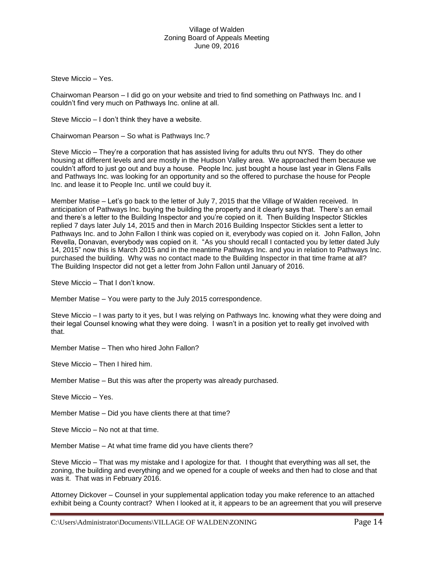Steve Miccio – Yes.

Chairwoman Pearson – I did go on your website and tried to find something on Pathways Inc. and I couldn't find very much on Pathways Inc. online at all.

Steve Miccio – I don't think they have a website.

Chairwoman Pearson – So what is Pathways Inc.?

Steve Miccio – They're a corporation that has assisted living for adults thru out NYS. They do other housing at different levels and are mostly in the Hudson Valley area. We approached them because we couldn't afford to just go out and buy a house. People Inc. just bought a house last year in Glens Falls and Pathways Inc. was looking for an opportunity and so the offered to purchase the house for People Inc. and lease it to People Inc. until we could buy it.

Member Matise – Let's go back to the letter of July 7, 2015 that the Village of Walden received. In anticipation of Pathways Inc. buying the building the property and it clearly says that. There's an email and there's a letter to the Building Inspector and you're copied on it. Then Building Inspector Stickles replied 7 days later July 14, 2015 and then in March 2016 Building Inspector Stickles sent a letter to Pathways Inc. and to John Fallon I think was copied on it, everybody was copied on it. John Fallon, John Revella, Donavan, everybody was copied on it. "As you should recall I contacted you by letter dated July 14, 2015" now this is March 2015 and in the meantime Pathways Inc. and you in relation to Pathways Inc. purchased the building. Why was no contact made to the Building Inspector in that time frame at all? The Building Inspector did not get a letter from John Fallon until January of 2016.

Steve Miccio – That I don't know.

Member Matise – You were party to the July 2015 correspondence.

Steve Miccio – I was party to it yes, but I was relying on Pathways Inc. knowing what they were doing and their legal Counsel knowing what they were doing. I wasn't in a position yet to really get involved with that.

Member Matise – Then who hired John Fallon?

Steve Miccio – Then I hired him.

Member Matise – But this was after the property was already purchased.

Steve Miccio – Yes.

Member Matise – Did you have clients there at that time?

Steve Miccio – No not at that time.

Member Matise – At what time frame did you have clients there?

Steve Miccio – That was my mistake and I apologize for that. I thought that everything was all set, the zoning, the building and everything and we opened for a couple of weeks and then had to close and that was it. That was in February 2016.

Attorney Dickover – Counsel in your supplemental application today you make reference to an attached exhibit being a County contract? When I looked at it, it appears to be an agreement that you will preserve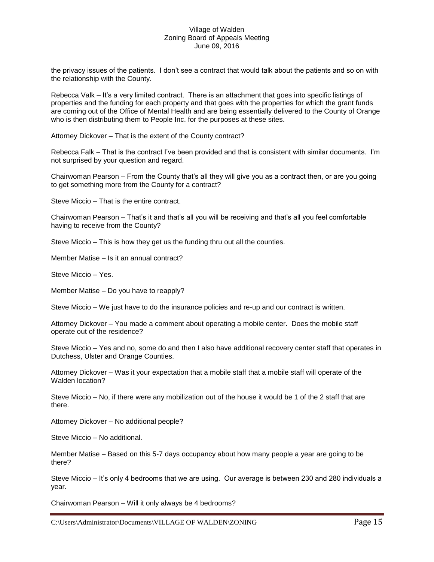the privacy issues of the patients. I don't see a contract that would talk about the patients and so on with the relationship with the County.

Rebecca Valk – It's a very limited contract. There is an attachment that goes into specific listings of properties and the funding for each property and that goes with the properties for which the grant funds are coming out of the Office of Mental Health and are being essentially delivered to the County of Orange who is then distributing them to People Inc. for the purposes at these sites.

Attorney Dickover – That is the extent of the County contract?

Rebecca Falk – That is the contract I've been provided and that is consistent with similar documents. I'm not surprised by your question and regard.

Chairwoman Pearson – From the County that's all they will give you as a contract then, or are you going to get something more from the County for a contract?

Steve Miccio – That is the entire contract.

Chairwoman Pearson – That's it and that's all you will be receiving and that's all you feel comfortable having to receive from the County?

Steve Miccio – This is how they get us the funding thru out all the counties.

Member Matise – Is it an annual contract?

Steve Miccio – Yes.

Member Matise – Do you have to reapply?

Steve Miccio – We just have to do the insurance policies and re-up and our contract is written.

Attorney Dickover – You made a comment about operating a mobile center. Does the mobile staff operate out of the residence?

Steve Miccio – Yes and no, some do and then I also have additional recovery center staff that operates in Dutchess, Ulster and Orange Counties.

Attorney Dickover – Was it your expectation that a mobile staff that a mobile staff will operate of the Walden location?

Steve Miccio – No, if there were any mobilization out of the house it would be 1 of the 2 staff that are there.

Attorney Dickover – No additional people?

Steve Miccio – No additional.

Member Matise – Based on this 5-7 days occupancy about how many people a year are going to be there?

Steve Miccio – It's only 4 bedrooms that we are using. Our average is between 230 and 280 individuals a year.

Chairwoman Pearson – Will it only always be 4 bedrooms?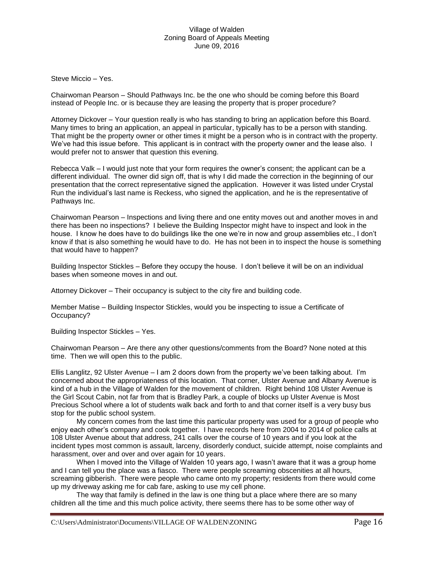## Steve Miccio – Yes.

Chairwoman Pearson – Should Pathways Inc. be the one who should be coming before this Board instead of People Inc. or is because they are leasing the property that is proper procedure?

Attorney Dickover – Your question really is who has standing to bring an application before this Board. Many times to bring an application, an appeal in particular, typically has to be a person with standing. That might be the property owner or other times it might be a person who is in contract with the property. We've had this issue before. This applicant is in contract with the property owner and the lease also. I would prefer not to answer that question this evening.

Rebecca Valk – I would just note that your form requires the owner's consent; the applicant can be a different individual. The owner did sign off, that is why I did made the correction in the beginning of our presentation that the correct representative signed the application. However it was listed under Crystal Run the individual's last name is Reckess, who signed the application, and he is the representative of Pathways Inc.

Chairwoman Pearson – Inspections and living there and one entity moves out and another moves in and there has been no inspections? I believe the Building Inspector might have to inspect and look in the house. I know he does have to do buildings like the one we're in now and group assemblies etc., I don't know if that is also something he would have to do. He has not been in to inspect the house is something that would have to happen?

Building Inspector Stickles – Before they occupy the house. I don't believe it will be on an individual bases when someone moves in and out.

Attorney Dickover – Their occupancy is subject to the city fire and building code.

Member Matise – Building Inspector Stickles, would you be inspecting to issue a Certificate of Occupancy?

Building Inspector Stickles – Yes.

Chairwoman Pearson – Are there any other questions/comments from the Board? None noted at this time. Then we will open this to the public.

Ellis Langlitz, 92 Ulster Avenue – I am 2 doors down from the property we've been talking about. I'm concerned about the appropriateness of this location. That corner, Ulster Avenue and Albany Avenue is kind of a hub in the Village of Walden for the movement of children. Right behind 108 Ulster Avenue is the Girl Scout Cabin, not far from that is Bradley Park, a couple of blocks up Ulster Avenue is Most Precious School where a lot of students walk back and forth to and that corner itself is a very busy bus stop for the public school system.

My concern comes from the last time this particular property was used for a group of people who enjoy each other's company and cook together. I have records here from 2004 to 2014 of police calls at 108 Ulster Avenue about that address, 241 calls over the course of 10 years and if you look at the incident types most common is assault, larceny, disorderly conduct, suicide attempt, noise complaints and harassment, over and over and over again for 10 years.

When I moved into the Village of Walden 10 years ago, I wasn't aware that it was a group home and I can tell you the place was a fiasco. There were people screaming obscenities at all hours, screaming gibberish. There were people who came onto my property; residents from there would come up my driveway asking me for cab fare, asking to use my cell phone.

The way that family is defined in the law is one thing but a place where there are so many children all the time and this much police activity, there seems there has to be some other way of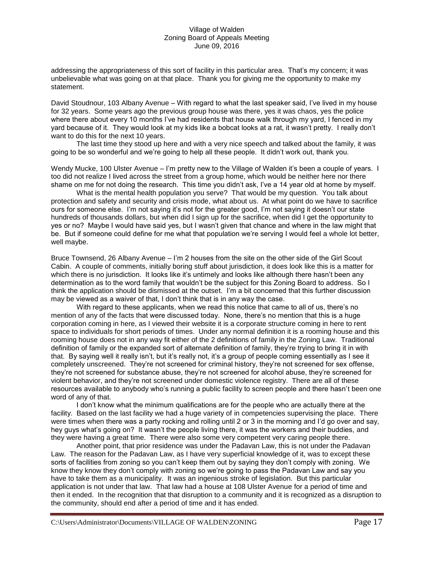addressing the appropriateness of this sort of facility in this particular area. That's my concern; it was unbelievable what was going on at that place. Thank you for giving me the opportunity to make my statement.

David Stoudnour, 103 Albany Avenue – With regard to what the last speaker said, I've lived in my house for 32 years. Some years ago the previous group house was there, yes it was chaos, yes the police where there about every 10 months I've had residents that house walk through my yard, I fenced in my yard because of it. They would look at my kids like a bobcat looks at a rat, it wasn't pretty. I really don't want to do this for the next 10 years.

The last time they stood up here and with a very nice speech and talked about the family, it was going to be so wonderful and we're going to help all these people. It didn't work out, thank you.

Wendy Mucke, 100 Ulster Avenue – I'm pretty new to the Village of Walden it's been a couple of years. I too did not realize I lived across the street from a group home, which would be neither here nor there shame on me for not doing the research. This time you didn't ask, I've a 14 year old at home by myself.

What is the mental health population you serve? That would be my question. You talk about protection and safety and security and crisis mode, what about us. At what point do we have to sacrifice ours for someone else. I'm not saying it's not for the greater good, I'm not saying it doesn't our state hundreds of thousands dollars, but when did I sign up for the sacrifice, when did I get the opportunity to yes or no? Maybe I would have said yes, but I wasn't given that chance and where in the law might that be. But if someone could define for me what that population we're serving I would feel a whole lot better, well maybe.

Bruce Townsend, 26 Albany Avenue – I'm 2 houses from the site on the other side of the Girl Scout Cabin. A couple of comments, initially boring stuff about jurisdiction, it does look like this is a matter for which there is no jurisdiction. It looks like it's untimely and looks like although there hasn't been any determination as to the word family that wouldn't be the subject for this Zoning Board to address. So I think the application should be dismissed at the outset. I'm a bit concerned that this further discussion may be viewed as a waiver of that, I don't think that is in any way the case.

With regard to these applicants, when we read this notice that came to all of us, there's no mention of any of the facts that were discussed today. None, there's no mention that this is a huge corporation coming in here, as I viewed their website it is a corporate structure coming in here to rent space to individuals for short periods of times. Under any normal definition it is a rooming house and this rooming house does not in any way fit either of the 2 definitions of family in the Zoning Law. Traditional definition of family or the expanded sort of alternate definition of family, they're trying to bring it in with that. By saying well it really isn't, but it's really not, it's a group of people coming essentially as I see it completely unscreened. They're not screened for criminal history, they're not screened for sex offense, they're not screened for substance abuse, they're not screened for alcohol abuse, they're screened for violent behavior, and they're not screened under domestic violence registry. There are all of these resources available to anybody who's running a public facility to screen people and there hasn't been one word of any of that.

I don't know what the minimum qualifications are for the people who are actually there at the facility. Based on the last facility we had a huge variety of in competencies supervising the place. There were times when there was a party rocking and rolling until 2 or 3 in the morning and I'd go over and say, hey guys what's going on? It wasn't the people living there, it was the workers and their buddies, and they were having a great time. There were also some very competent very caring people there.

Another point, that prior residence was under the Padavan Law, this is not under the Padavan Law. The reason for the Padavan Law, as I have very superficial knowledge of it, was to except these sorts of facilities from zoning so you can't keep them out by saying they don't comply with zoning. We know they know they don't comply with zoning so we're going to pass the Padavan Law and say you have to take them as a municipality. It was an ingenious stroke of legislation. But this particular application is not under that law. That law had a house at 108 Ulster Avenue for a period of time and then it ended. In the recognition that that disruption to a community and it is recognized as a disruption to the community, should end after a period of time and it has ended.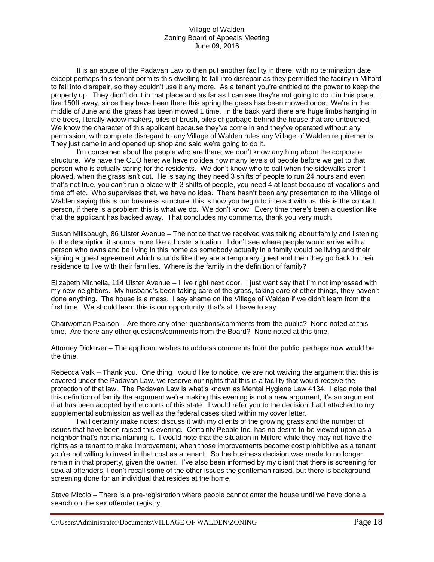It is an abuse of the Padavan Law to then put another facility in there, with no termination date except perhaps this tenant permits this dwelling to fall into disrepair as they permitted the facility in Milford to fall into disrepair, so they couldn't use it any more. As a tenant you're entitled to the power to keep the property up. They didn't do it in that place and as far as I can see they're not going to do it in this place. I live 150ft away, since they have been there this spring the grass has been mowed once. We're in the middle of June and the grass has been mowed 1 time. In the back yard there are huge limbs hanging in the trees, literally widow makers, piles of brush, piles of garbage behind the house that are untouched. We know the character of this applicant because they've come in and they've operated without any permission, with complete disregard to any Village of Walden rules any Village of Walden requirements. They just came in and opened up shop and said we're going to do it.

I'm concerned about the people who are there; we don't know anything about the corporate structure. We have the CEO here; we have no idea how many levels of people before we get to that person who is actually caring for the residents. We don't know who to call when the sidewalks aren't plowed, when the grass isn't cut. He is saying they need 3 shifts of people to run 24 hours and even that's not true, you can't run a place with 3 shifts of people, you need 4 at least because of vacations and time off etc. Who supervises that, we have no idea. There hasn't been any presentation to the Village of Walden saying this is our business structure, this is how you begin to interact with us, this is the contact person, if there is a problem this is what we do. We don't know. Every time there's been a question like that the applicant has backed away. That concludes my comments, thank you very much.

Susan Millspaugh, 86 Ulster Avenue – The notice that we received was talking about family and listening to the description it sounds more like a hostel situation. I don't see where people would arrive with a person who owns and be living in this home as somebody actually in a family would be living and their signing a guest agreement which sounds like they are a temporary guest and then they go back to their residence to live with their families. Where is the family in the definition of family?

Elizabeth Michella, 114 Ulster Avenue – I live right next door. I just want say that I'm not impressed with my new neighbors. My husband's been taking care of the grass, taking care of other things, they haven't done anything. The house is a mess. I say shame on the Village of Walden if we didn't learn from the first time. We should learn this is our opportunity, that's all I have to say.

Chairwoman Pearson – Are there any other questions/comments from the public? None noted at this time. Are there any other questions/comments from the Board? None noted at this time.

Attorney Dickover – The applicant wishes to address comments from the public, perhaps now would be the time.

Rebecca Valk – Thank you. One thing I would like to notice, we are not waiving the argument that this is covered under the Padavan Law, we reserve our rights that this is a facility that would receive the protection of that law. The Padavan Law is what's known as Mental Hygiene Law 4134. I also note that this definition of family the argument we're making this evening is not a new argument, it's an argument that has been adopted by the courts of this state. I would refer you to the decision that I attached to my supplemental submission as well as the federal cases cited within my cover letter.

I will certainly make notes; discuss it with my clients of the growing grass and the number of issues that have been raised this evening. Certainly People Inc. has no desire to be viewed upon as a neighbor that's not maintaining it. I would note that the situation in Milford while they may not have the rights as a tenant to make improvement, when those improvements become cost prohibitive as a tenant you're not willing to invest in that cost as a tenant. So the business decision was made to no longer remain in that property, given the owner. I've also been informed by my client that there is screening for sexual offenders, I don't recall some of the other issues the gentleman raised, but there is background screening done for an individual that resides at the home.

Steve Miccio – There is a pre-registration where people cannot enter the house until we have done a search on the sex offender registry.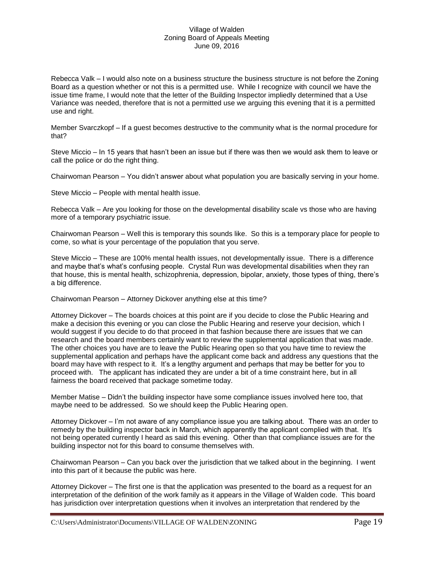Rebecca Valk – I would also note on a business structure the business structure is not before the Zoning Board as a question whether or not this is a permitted use. While I recognize with council we have the issue time frame, I would note that the letter of the Building Inspector impliedly determined that a Use Variance was needed, therefore that is not a permitted use we arguing this evening that it is a permitted use and right.

Member Svarczkopf – If a guest becomes destructive to the community what is the normal procedure for that?

Steve Miccio – In 15 years that hasn't been an issue but if there was then we would ask them to leave or call the police or do the right thing.

Chairwoman Pearson – You didn't answer about what population you are basically serving in your home.

Steve Miccio – People with mental health issue.

Rebecca Valk – Are you looking for those on the developmental disability scale vs those who are having more of a temporary psychiatric issue.

Chairwoman Pearson – Well this is temporary this sounds like. So this is a temporary place for people to come, so what is your percentage of the population that you serve.

Steve Miccio – These are 100% mental health issues, not developmentally issue. There is a difference and maybe that's what's confusing people. Crystal Run was developmental disabilities when they ran that house, this is mental health, schizophrenia, depression, bipolar, anxiety, those types of thing, there's a big difference.

Chairwoman Pearson – Attorney Dickover anything else at this time?

Attorney Dickover – The boards choices at this point are if you decide to close the Public Hearing and make a decision this evening or you can close the Public Hearing and reserve your decision, which I would suggest if you decide to do that proceed in that fashion because there are issues that we can research and the board members certainly want to review the supplemental application that was made. The other choices you have are to leave the Public Hearing open so that you have time to review the supplemental application and perhaps have the applicant come back and address any questions that the board may have with respect to it. It's a lengthy argument and perhaps that may be better for you to proceed with. The applicant has indicated they are under a bit of a time constraint here, but in all fairness the board received that package sometime today.

Member Matise – Didn't the building inspector have some compliance issues involved here too, that maybe need to be addressed. So we should keep the Public Hearing open.

Attorney Dickover – I'm not aware of any compliance issue you are talking about. There was an order to remedy by the building inspector back in March, which apparently the applicant complied with that. It's not being operated currently I heard as said this evening. Other than that compliance issues are for the building inspector not for this board to consume themselves with.

Chairwoman Pearson – Can you back over the jurisdiction that we talked about in the beginning. I went into this part of it because the public was here.

Attorney Dickover – The first one is that the application was presented to the board as a request for an interpretation of the definition of the work family as it appears in the Village of Walden code. This board has jurisdiction over interpretation questions when it involves an interpretation that rendered by the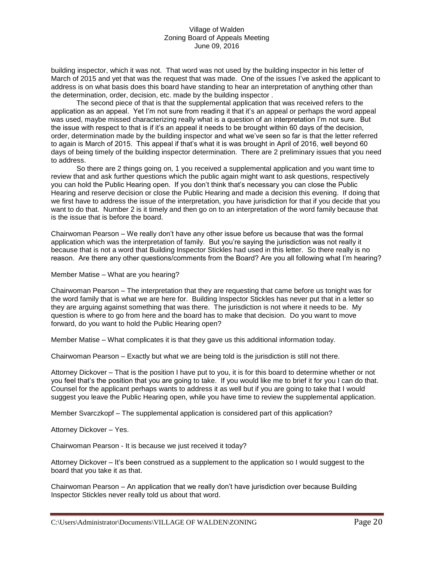building inspector, which it was not. That word was not used by the building inspector in his letter of March of 2015 and yet that was the request that was made. One of the issues I've asked the applicant to address is on what basis does this board have standing to hear an interpretation of anything other than the determination, order, decision, etc. made by the building inspector .

The second piece of that is that the supplemental application that was received refers to the application as an appeal. Yet I'm not sure from reading it that it's an appeal or perhaps the word appeal was used, maybe missed characterizing really what is a question of an interpretation I'm not sure. But the issue with respect to that is if it's an appeal it needs to be brought within 60 days of the decision, order, determination made by the building inspector and what we've seen so far is that the letter referred to again is March of 2015. This appeal if that's what it is was brought in April of 2016, well beyond 60 days of being timely of the building inspector determination. There are 2 preliminary issues that you need to address.

So there are 2 things going on, 1 you received a supplemental application and you want time to review that and ask further questions which the public again might want to ask questions, respectively you can hold the Public Hearing open. If you don't think that's necessary you can close the Public Hearing and reserve decision or close the Public Hearing and made a decision this evening. If doing that we first have to address the issue of the interpretation, you have jurisdiction for that if you decide that you want to do that. Number 2 is it timely and then go on to an interpretation of the word family because that is the issue that is before the board.

Chairwoman Pearson – We really don't have any other issue before us because that was the formal application which was the interpretation of family. But you're saying the jurisdiction was not really it because that is not a word that Building Inspector Stickles had used in this letter. So there really is no reason. Are there any other questions/comments from the Board? Are you all following what I'm hearing?

### Member Matise – What are you hearing?

Chairwoman Pearson – The interpretation that they are requesting that came before us tonight was for the word family that is what we are here for. Building Inspector Stickles has never put that in a letter so they are arguing against something that was there. The jurisdiction is not where it needs to be. My question is where to go from here and the board has to make that decision. Do you want to move forward, do you want to hold the Public Hearing open?

Member Matise – What complicates it is that they gave us this additional information today.

Chairwoman Pearson – Exactly but what we are being told is the jurisdiction is still not there.

Attorney Dickover – That is the position I have put to you, it is for this board to determine whether or not you feel that's the position that you are going to take. If you would like me to brief it for you I can do that. Counsel for the applicant perhaps wants to address it as well but if you are going to take that I would suggest you leave the Public Hearing open, while you have time to review the supplemental application.

Member Svarczkopf – The supplemental application is considered part of this application?

Attorney Dickover – Yes.

Chairwoman Pearson - It is because we just received it today?

Attorney Dickover – It's been construed as a supplement to the application so I would suggest to the board that you take it as that.

Chairwoman Pearson – An application that we really don't have jurisdiction over because Building Inspector Stickles never really told us about that word.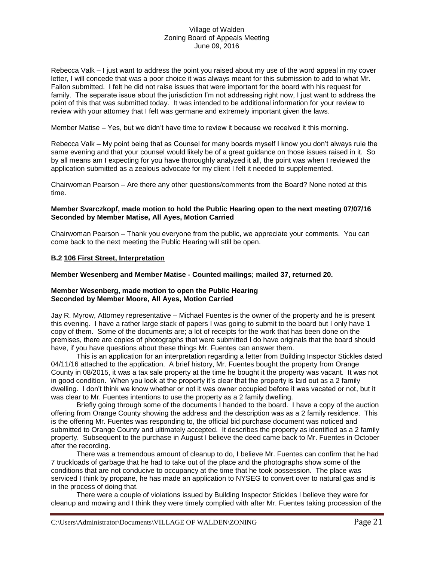Rebecca Valk – I just want to address the point you raised about my use of the word appeal in my cover letter, I will concede that was a poor choice it was always meant for this submission to add to what Mr. Fallon submitted. I felt he did not raise issues that were important for the board with his request for family. The separate issue about the jurisdiction I'm not addressing right now, I just want to address the point of this that was submitted today. It was intended to be additional information for your review to review with your attorney that I felt was germane and extremely important given the laws.

Member Matise – Yes, but we didn't have time to review it because we received it this morning.

Rebecca Valk – My point being that as Counsel for many boards myself I know you don't always rule the same evening and that your counsel would likely be of a great guidance on those issues raised in it. So by all means am I expecting for you have thoroughly analyzed it all, the point was when I reviewed the application submitted as a zealous advocate for my client I felt it needed to supplemented.

Chairwoman Pearson – Are there any other questions/comments from the Board? None noted at this time.

## **Member Svarczkopf, made motion to hold the Public Hearing open to the next meeting 07/07/16 Seconded by Member Matise, All Ayes, Motion Carried**

Chairwoman Pearson – Thank you everyone from the public, we appreciate your comments. You can come back to the next meeting the Public Hearing will still be open.

# **B.2 106 First Street, Interpretation**

### **Member Wesenberg and Member Matise - Counted mailings; mailed 37, returned 20.**

### **Member Wesenberg, made motion to open the Public Hearing Seconded by Member Moore, All Ayes, Motion Carried**

Jay R. Myrow, Attorney representative – Michael Fuentes is the owner of the property and he is present this evening. I have a rather large stack of papers I was going to submit to the board but I only have 1 copy of them. Some of the documents are; a lot of receipts for the work that has been done on the premises, there are copies of photographs that were submitted I do have originals that the board should have, if you have questions about these things Mr. Fuentes can answer them.

This is an application for an interpretation regarding a letter from Building Inspector Stickles dated 04/11/16 attached to the application. A brief history, Mr. Fuentes bought the property from Orange County in 08/2015, it was a tax sale property at the time he bought it the property was vacant. It was not in good condition. When you look at the property it's clear that the property is laid out as a 2 family dwelling. I don't think we know whether or not it was owner occupied before it was vacated or not, but it was clear to Mr. Fuentes intentions to use the property as a 2 family dwelling.

Briefly going through some of the documents I handed to the board. I have a copy of the auction offering from Orange County showing the address and the description was as a 2 family residence. This is the offering Mr. Fuentes was responding to, the official bid purchase document was noticed and submitted to Orange County and ultimately accepted. It describes the property as identified as a 2 family property. Subsequent to the purchase in August I believe the deed came back to Mr. Fuentes in October after the recording.

There was a tremendous amount of cleanup to do, I believe Mr. Fuentes can confirm that he had 7 truckloads of garbage that he had to take out of the place and the photographs show some of the conditions that are not conducive to occupancy at the time that he took possession. The place was serviced I think by propane, he has made an application to NYSEG to convert over to natural gas and is in the process of doing that.

There were a couple of violations issued by Building Inspector Stickles I believe they were for cleanup and mowing and I think they were timely complied with after Mr. Fuentes taking procession of the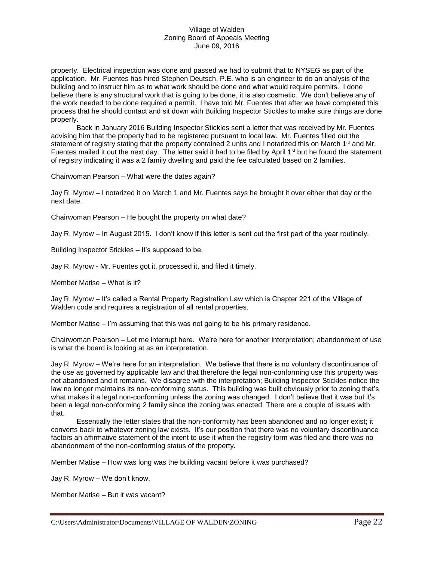property. Electrical inspection was done and passed we had to submit that to NYSEG as part of the application. Mr. Fuentes has hired Stephen Deutsch, P.E. who is an engineer to do an analysis of the building and to instruct him as to what work should be done and what would require permits. I done believe there is any structural work that is going to be done, it is also cosmetic. We don't believe any of the work needed to be done required a permit. I have told Mr. Fuentes that after we have completed this process that he should contact and sit down with Building Inspector Stickles to make sure things are done properly.

Back in January 2016 Building Inspector Stickles sent a letter that was received by Mr. Fuentes advising him that the property had to be registered pursuant to local law. Mr. Fuentes filled out the statement of registry stating that the property contained 2 units and I notarized this on March 1<sup>st</sup> and Mr. Fuentes mailed it out the next day. The letter said it had to be filed by April  $1<sup>st</sup>$  but he found the statement of registry indicating it was a 2 family dwelling and paid the fee calculated based on 2 families.

Chairwoman Pearson – What were the dates again?

Jay R. Myrow – I notarized it on March 1 and Mr. Fuentes says he brought it over either that day or the next date.

Chairwoman Pearson – He bought the property on what date?

Jay R. Myrow – In August 2015. I don't know if this letter is sent out the first part of the year routinely.

Building Inspector Stickles – It's supposed to be.

Jay R. Myrow - Mr. Fuentes got it, processed it, and filed it timely.

Member Matise – What is it?

Jay R. Myrow – It's called a Rental Property Registration Law which is Chapter 221 of the Village of Walden code and requires a registration of all rental properties.

Member Matise – I'm assuming that this was not going to be his primary residence.

Chairwoman Pearson – Let me interrupt here. We're here for another interpretation; abandonment of use is what the board is looking at as an interpretation.

Jay R. Myrow – We're here for an interpretation. We believe that there is no voluntary discontinuance of the use as governed by applicable law and that therefore the legal non-conforming use this property was not abandoned and it remains. We disagree with the interpretation; Building Inspector Stickles notice the law no longer maintains its non-conforming status. This building was built obviously prior to zoning that's what makes it a legal non-conforming unless the zoning was changed. I don't believe that it was but it's been a legal non-conforming 2 family since the zoning was enacted. There are a couple of issues with that.

Essentially the letter states that the non-conformity has been abandoned and no longer exist; it converts back to whatever zoning law exists. It's our position that there was no voluntary discontinuance factors an affirmative statement of the intent to use it when the registry form was filed and there was no abandonment of the non-conforming status of the property.

Member Matise – How was long was the building vacant before it was purchased?

Jay R. Myrow – We don't know.

Member Matise – But it was vacant?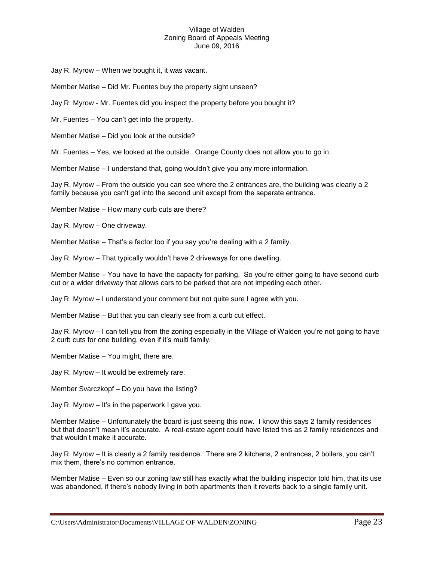Jay R. Myrow – When we bought it, it was vacant.

Member Matise – Did Mr. Fuentes buy the property sight unseen?

Jay R. Myrow - Mr. Fuentes did you inspect the property before you bought it?

Mr. Fuentes – You can't get into the property.

Member Matise – Did you look at the outside?

Mr. Fuentes – Yes, we looked at the outside. Orange County does not allow you to go in.

Member Matise – I understand that, going wouldn't give you any more information.

Jay R. Myrow – From the outside you can see where the 2 entrances are, the building was clearly a 2 family because you can't get into the second unit except from the separate entrance.

Member Matise – How many curb cuts are there?

Jay R. Myrow – One driveway.

Member Matise – That's a factor too if you say you're dealing with a 2 family.

Jay R. Myrow – That typically wouldn't have 2 driveways for one dwelling.

Member Matise – You have to have the capacity for parking. So you're either going to have second curb cut or a wider driveway that allows cars to be parked that are not impeding each other.

Jay R. Myrow – I understand your comment but not quite sure I agree with you.

Member Matise – But that you can clearly see from a curb cut effect.

Jay R. Myrow – I can tell you from the zoning especially in the Village of Walden you're not going to have 2 curb cuts for one building, even if it's multi family.

Member Matise – You might, there are.

Jay R. Myrow – It would be extremely rare.

Member Svarczkopf – Do you have the listing?

Jay R. Myrow – It's in the paperwork I gave you.

Member Matise – Unfortunately the board is just seeing this now. I know this says 2 family residences but that doesn't mean it's accurate. A real-estate agent could have listed this as 2 family residences and that wouldn't make it accurate.

Jay R. Myrow – It is clearly a 2 family residence. There are 2 kitchens, 2 entrances, 2 boilers, you can't mix them, there's no common entrance.

Member Matise – Even so our zoning law still has exactly what the building inspector told him, that its use was abandoned, if there's nobody living in both apartments then it reverts back to a single family unit.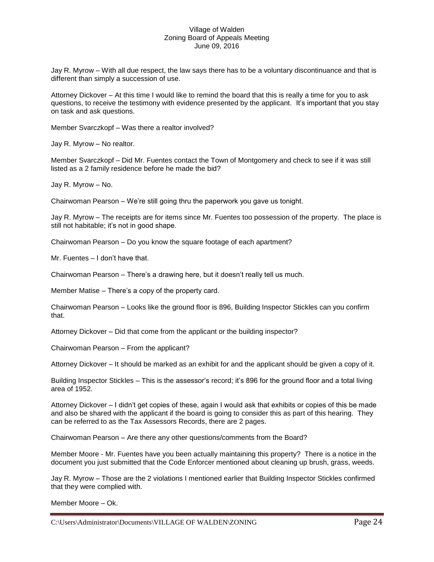Jay R. Myrow – With all due respect, the law says there has to be a voluntary discontinuance and that is different than simply a succession of use.

Attorney Dickover – At this time I would like to remind the board that this is really a time for you to ask questions, to receive the testimony with evidence presented by the applicant. It's important that you stay on task and ask questions.

Member Svarczkopf – Was there a realtor involved?

Jay R. Myrow – No realtor.

Member Svarczkopf – Did Mr. Fuentes contact the Town of Montgomery and check to see if it was still listed as a 2 family residence before he made the bid?

Jay R. Myrow – No.

Chairwoman Pearson – We're still going thru the paperwork you gave us tonight.

Jay R. Myrow – The receipts are for items since Mr. Fuentes too possession of the property. The place is still not habitable; it's not in good shape.

Chairwoman Pearson – Do you know the square footage of each apartment?

Mr. Fuentes – I don't have that.

Chairwoman Pearson – There's a drawing here, but it doesn't really tell us much.

Member Matise – There's a copy of the property card.

Chairwoman Pearson – Looks like the ground floor is 896, Building Inspector Stickles can you confirm that.

Attorney Dickover – Did that come from the applicant or the building inspector?

Chairwoman Pearson – From the applicant?

Attorney Dickover – It should be marked as an exhibit for and the applicant should be given a copy of it.

Building Inspector Stickles – This is the assessor's record; it's 896 for the ground floor and a total living area of 1952.

Attorney Dickover – I didn't get copies of these, again I would ask that exhibits or copies of this be made and also be shared with the applicant if the board is going to consider this as part of this hearing. They can be referred to as the Tax Assessors Records, there are 2 pages.

Chairwoman Pearson – Are there any other questions/comments from the Board?

Member Moore - Mr. Fuentes have you been actually maintaining this property? There is a notice in the document you just submitted that the Code Enforcer mentioned about cleaning up brush, grass, weeds.

Jay R. Myrow – Those are the 2 violations I mentioned earlier that Building Inspector Stickles confirmed that they were complied with.

Member Moore – Ok.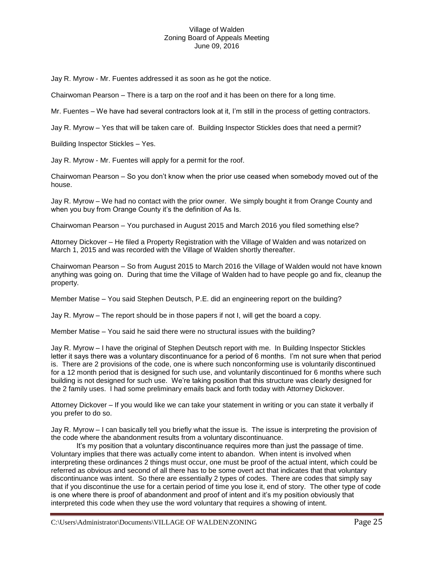Jay R. Myrow - Mr. Fuentes addressed it as soon as he got the notice.

Chairwoman Pearson – There is a tarp on the roof and it has been on there for a long time.

Mr. Fuentes – We have had several contractors look at it, I'm still in the process of getting contractors.

Jay R. Myrow – Yes that will be taken care of. Building Inspector Stickles does that need a permit?

Building Inspector Stickles – Yes.

Jay R. Myrow - Mr. Fuentes will apply for a permit for the roof.

Chairwoman Pearson – So you don't know when the prior use ceased when somebody moved out of the house.

Jay R. Myrow – We had no contact with the prior owner. We simply bought it from Orange County and when you buy from Orange County it's the definition of As Is.

Chairwoman Pearson – You purchased in August 2015 and March 2016 you filed something else?

Attorney Dickover – He filed a Property Registration with the Village of Walden and was notarized on March 1, 2015 and was recorded with the Village of Walden shortly thereafter.

Chairwoman Pearson – So from August 2015 to March 2016 the Village of Walden would not have known anything was going on. During that time the Village of Walden had to have people go and fix, cleanup the property.

Member Matise – You said Stephen Deutsch, P.E. did an engineering report on the building?

Jay R. Myrow – The report should be in those papers if not I, will get the board a copy.

Member Matise – You said he said there were no structural issues with the building?

Jay R. Myrow – I have the original of Stephen Deutsch report with me. In Building Inspector Stickles letter it says there was a voluntary discontinuance for a period of 6 months. I'm not sure when that period is. There are 2 provisions of the code, one is where such nonconforming use is voluntarily discontinued for a 12 month period that is designed for such use, and voluntarily discontinued for 6 months where such building is not designed for such use. We're taking position that this structure was clearly designed for the 2 family uses. I had some preliminary emails back and forth today with Attorney Dickover.

Attorney Dickover – If you would like we can take your statement in writing or you can state it verbally if you prefer to do so.

Jay R. Myrow – I can basically tell you briefly what the issue is. The issue is interpreting the provision of the code where the abandonment results from a voluntary discontinuance.

It's my position that a voluntary discontinuance requires more than just the passage of time. Voluntary implies that there was actually come intent to abandon. When intent is involved when interpreting these ordinances 2 things must occur, one must be proof of the actual intent, which could be referred as obvious and second of all there has to be some overt act that indicates that that voluntary discontinuance was intent. So there are essentially 2 types of codes. There are codes that simply say that if you discontinue the use for a certain period of time you lose it, end of story. The other type of code is one where there is proof of abandonment and proof of intent and it's my position obviously that interpreted this code when they use the word voluntary that requires a showing of intent.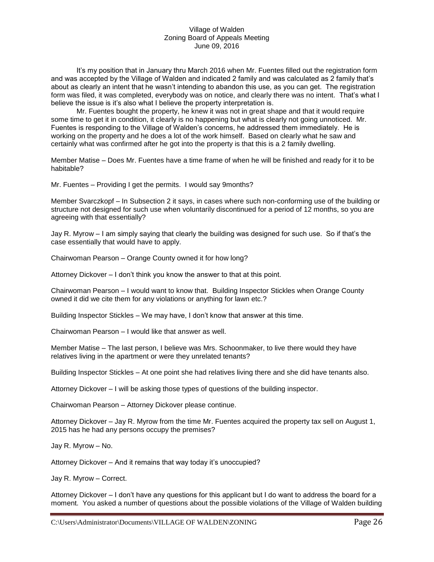It's my position that in January thru March 2016 when Mr. Fuentes filled out the registration form and was accepted by the Village of Walden and indicated 2 family and was calculated as 2 family that's about as clearly an intent that he wasn't intending to abandon this use, as you can get. The registration form was filed, it was completed, everybody was on notice, and clearly there was no intent. That's what I believe the issue is it's also what I believe the property interpretation is.

Mr. Fuentes bought the property, he knew it was not in great shape and that it would require some time to get it in condition, it clearly is no happening but what is clearly not going unnoticed. Mr. Fuentes is responding to the Village of Walden's concerns, he addressed them immediately. He is working on the property and he does a lot of the work himself. Based on clearly what he saw and certainly what was confirmed after he got into the property is that this is a 2 family dwelling.

Member Matise – Does Mr. Fuentes have a time frame of when he will be finished and ready for it to be habitable?

Mr. Fuentes – Providing I get the permits. I would say 9months?

Member Svarczkopf – In Subsection 2 it says, in cases where such non-conforming use of the building or structure not designed for such use when voluntarily discontinued for a period of 12 months, so you are agreeing with that essentially?

Jay R. Myrow – I am simply saying that clearly the building was designed for such use. So if that's the case essentially that would have to apply.

Chairwoman Pearson – Orange County owned it for how long?

Attorney Dickover – I don't think you know the answer to that at this point.

Chairwoman Pearson – I would want to know that. Building Inspector Stickles when Orange County owned it did we cite them for any violations or anything for lawn etc.?

Building Inspector Stickles – We may have, I don't know that answer at this time.

Chairwoman Pearson – I would like that answer as well.

Member Matise – The last person, I believe was Mrs. Schoonmaker, to live there would they have relatives living in the apartment or were they unrelated tenants?

Building Inspector Stickles – At one point she had relatives living there and she did have tenants also.

Attorney Dickover – I will be asking those types of questions of the building inspector.

Chairwoman Pearson – Attorney Dickover please continue.

Attorney Dickover – Jay R. Myrow from the time Mr. Fuentes acquired the property tax sell on August 1, 2015 has he had any persons occupy the premises?

Jay R. Myrow – No.

Attorney Dickover – And it remains that way today it's unoccupied?

Jay R. Myrow – Correct.

Attorney Dickover – I don't have any questions for this applicant but I do want to address the board for a moment. You asked a number of questions about the possible violations of the Village of Walden building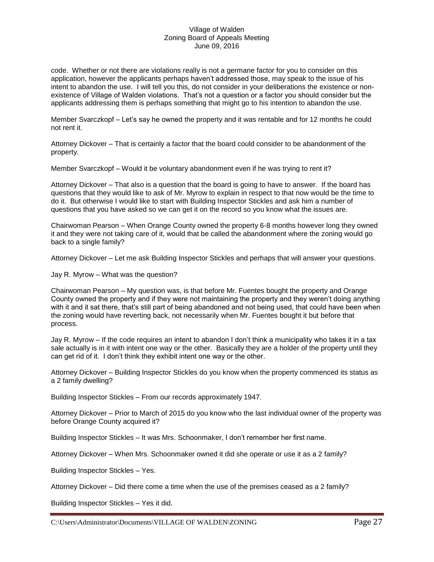code. Whether or not there are violations really is not a germane factor for you to consider on this application, however the applicants perhaps haven't addressed those, may speak to the issue of his intent to abandon the use. I will tell you this, do not consider in your deliberations the existence or nonexistence of Village of Walden violations. That's not a question or a factor you should consider but the applicants addressing them is perhaps something that might go to his intention to abandon the use.

Member Svarczkopf – Let's say he owned the property and it was rentable and for 12 months he could not rent it.

Attorney Dickover – That is certainly a factor that the board could consider to be abandonment of the property.

Member Svarczkopf – Would it be voluntary abandonment even if he was trying to rent it?

Attorney Dickover – That also is a question that the board is going to have to answer. If the board has questions that they would like to ask of Mr. Myrow to explain in respect to that now would be the time to do it. But otherwise I would like to start with Building Inspector Stickles and ask him a number of questions that you have asked so we can get it on the record so you know what the issues are.

Chairwoman Pearson – When Orange County owned the property 6-8 months however long they owned it and they were not taking care of it, would that be called the abandonment where the zoning would go back to a single family?

Attorney Dickover – Let me ask Building Inspector Stickles and perhaps that will answer your questions.

Jay R. Myrow – What was the question?

Chairwoman Pearson – My question was, is that before Mr. Fuentes bought the property and Orange County owned the property and if they were not maintaining the property and they weren't doing anything with it and it sat there, that's still part of being abandoned and not being used, that could have been when the zoning would have reverting back, not necessarily when Mr. Fuentes bought it but before that process.

Jay R. Myrow – If the code requires an intent to abandon I don't think a municipality who takes it in a tax sale actually is in it with intent one way or the other. Basically they are a holder of the property until they can get rid of it. I don't think they exhibit intent one way or the other.

Attorney Dickover – Building Inspector Stickles do you know when the property commenced its status as a 2 family dwelling?

Building Inspector Stickles – From our records approximately 1947.

Attorney Dickover – Prior to March of 2015 do you know who the last individual owner of the property was before Orange County acquired it?

Building Inspector Stickles – It was Mrs. Schoonmaker, I don't remember her first name.

Attorney Dickover – When Mrs. Schoonmaker owned it did she operate or use it as a 2 family?

Building Inspector Stickles – Yes.

Attorney Dickover – Did there come a time when the use of the premises ceased as a 2 family?

Building Inspector Stickles – Yes it did.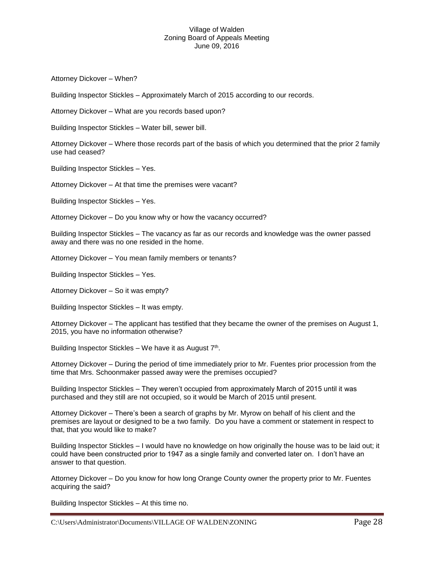Attorney Dickover – When?

Building Inspector Stickles – Approximately March of 2015 according to our records.

Attorney Dickover – What are you records based upon?

Building Inspector Stickles – Water bill, sewer bill.

Attorney Dickover – Where those records part of the basis of which you determined that the prior 2 family use had ceased?

Building Inspector Stickles – Yes.

Attorney Dickover – At that time the premises were vacant?

Building Inspector Stickles – Yes.

Attorney Dickover – Do you know why or how the vacancy occurred?

Building Inspector Stickles – The vacancy as far as our records and knowledge was the owner passed away and there was no one resided in the home.

Attorney Dickover – You mean family members or tenants?

Building Inspector Stickles – Yes.

Attorney Dickover – So it was empty?

Building Inspector Stickles – It was empty.

Attorney Dickover – The applicant has testified that they became the owner of the premises on August 1, 2015, you have no information otherwise?

Building Inspector Stickles – We have it as August  $7<sup>th</sup>$ .

Attorney Dickover – During the period of time immediately prior to Mr. Fuentes prior procession from the time that Mrs. Schoonmaker passed away were the premises occupied?

Building Inspector Stickles – They weren't occupied from approximately March of 2015 until it was purchased and they still are not occupied, so it would be March of 2015 until present.

Attorney Dickover – There's been a search of graphs by Mr. Myrow on behalf of his client and the premises are layout or designed to be a two family. Do you have a comment or statement in respect to that, that you would like to make?

Building Inspector Stickles – I would have no knowledge on how originally the house was to be laid out; it could have been constructed prior to 1947 as a single family and converted later on. I don't have an answer to that question.

Attorney Dickover – Do you know for how long Orange County owner the property prior to Mr. Fuentes acquiring the said?

Building Inspector Stickles – At this time no.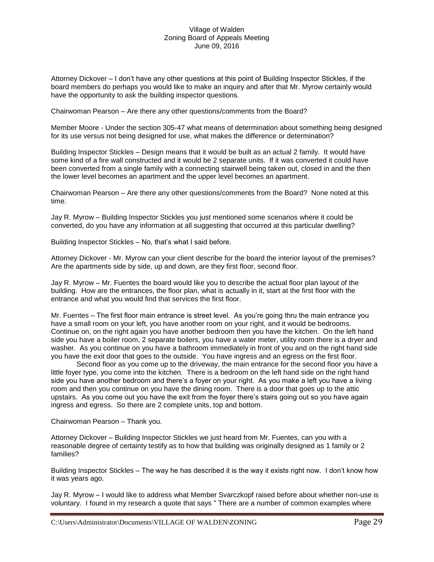Attorney Dickover – I don't have any other questions at this point of Building Inspector Stickles, if the board members do perhaps you would like to make an inquiry and after that Mr. Myrow certainly would have the opportunity to ask the building inspector questions.

Chairwoman Pearson – Are there any other questions/comments from the Board?

Member Moore - Under the section 305-47 what means of determination about something being designed for its use versus not being designed for use, what makes the difference or determination?

Building Inspector Stickles – Design means that it would be built as an actual 2 family. It would have some kind of a fire wall constructed and it would be 2 separate units. If it was converted it could have been converted from a single family with a connecting stairwell being taken out, closed in and the then the lower level becomes an apartment and the upper level becomes an apartment.

Chairwoman Pearson – Are there any other questions/comments from the Board? None noted at this time.

Jay R. Myrow – Building Inspector Stickles you just mentioned some scenarios where it could be converted, do you have any information at all suggesting that occurred at this particular dwelling?

Building Inspector Stickles – No, that's what I said before.

Attorney Dickover - Mr. Myrow can your client describe for the board the interior layout of the premises? Are the apartments side by side, up and down, are they first floor, second floor.

Jay R. Myrow – Mr. Fuentes the board would like you to describe the actual floor plan layout of the building. How are the entrances, the floor plan, what is actually in it, start at the first floor with the entrance and what you would find that services the first floor.

Mr. Fuentes – The first floor main entrance is street level. As you're going thru the main entrance you have a small room on your left, you have another room on your right, and it would be bedrooms. Continue on, on the right again you have another bedroom then you have the kitchen. On the left hand side you have a boiler room, 2 separate boilers, you have a water meter, utility room there is a dryer and washer. As you continue on you have a bathroom immediately in front of you and on the right hand side you have the exit door that goes to the outside. You have ingress and an egress on the first floor.

Second floor as you come up to the driveway, the main entrance for the second floor you have a little foyer type, you come into the kitchen. There is a bedroom on the left hand side on the right hand side you have another bedroom and there's a foyer on your right. As you make a left you have a living room and then you continue on you have the dining room. There is a door that goes up to the attic upstairs. As you come out you have the exit from the foyer there's stairs going out so you have again ingress and egress. So there are 2 complete units, top and bottom.

Chairwoman Pearson – Thank you.

Attorney Dickover – Building Inspector Stickles we just heard from Mr. Fuentes, can you with a reasonable degree of certainty testify as to how that building was originally designed as 1 family or 2 families?

Building Inspector Stickles – The way he has described it is the way it exists right now. I don't know how it was years ago.

Jay R. Myrow – I would like to address what Member Svarczkopf raised before about whether non-use is voluntary. I found in my research a quote that says " There are a number of common examples where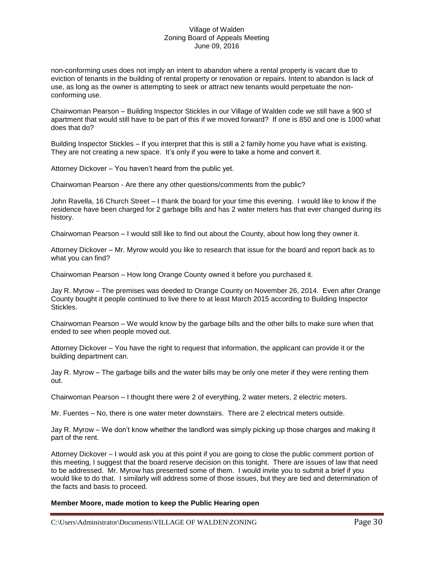non-conforming uses does not imply an intent to abandon where a rental property is vacant due to eviction of tenants in the building of rental property or renovation or repairs. Intent to abandon is lack of use, as long as the owner is attempting to seek or attract new tenants would perpetuate the nonconforming use.

Chairwoman Pearson – Building Inspector Stickles in our Village of Walden code we still have a 900 sf apartment that would still have to be part of this if we moved forward? If one is 850 and one is 1000 what does that do?

Building Inspector Stickles – If you interpret that this is still a 2 family home you have what is existing. They are not creating a new space. It's only if you were to take a home and convert it.

Attorney Dickover – You haven't heard from the public yet.

Chairwoman Pearson - Are there any other questions/comments from the public?

John Ravella, 16 Church Street – I thank the board for your time this evening. I would like to know if the residence have been charged for 2 garbage bills and has 2 water meters has that ever changed during its history.

Chairwoman Pearson – I would still like to find out about the County, about how long they owner it.

Attorney Dickover – Mr. Myrow would you like to research that issue for the board and report back as to what you can find?

Chairwoman Pearson – How long Orange County owned it before you purchased it.

Jay R. Myrow – The premises was deeded to Orange County on November 26, 2014. Even after Orange County bought it people continued to live there to at least March 2015 according to Building Inspector Stickles.

Chairwoman Pearson – We would know by the garbage bills and the other bills to make sure when that ended to see when people moved out.

Attorney Dickover – You have the right to request that information, the applicant can provide it or the building department can.

Jay R. Myrow – The garbage bills and the water bills may be only one meter if they were renting them out.

Chairwoman Pearson – I thought there were 2 of everything, 2 water meters, 2 electric meters.

Mr. Fuentes – No, there is one water meter downstairs. There are 2 electrical meters outside.

Jay R. Myrow – We don't know whether the landlord was simply picking up those charges and making it part of the rent.

Attorney Dickover – I would ask you at this point if you are going to close the public comment portion of this meeting, I suggest that the board reserve decision on this tonight. There are issues of law that need to be addressed. Mr. Myrow has presented some of them. I would invite you to submit a brief if you would like to do that. I similarly will address some of those issues, but they are tied and determination of the facts and basis to proceed.

## **Member Moore, made motion to keep the Public Hearing open**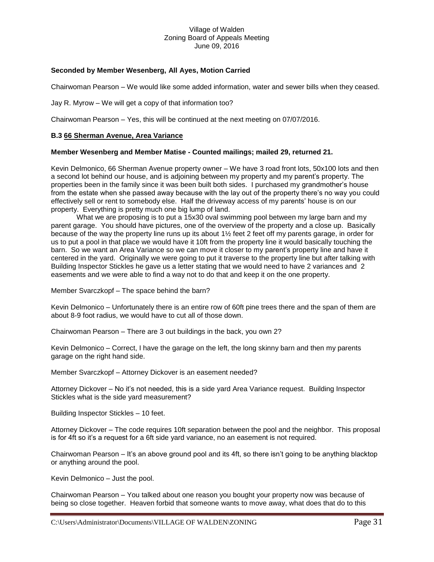# **Seconded by Member Wesenberg, All Ayes, Motion Carried**

Chairwoman Pearson – We would like some added information, water and sewer bills when they ceased.

Jay R. Myrow – We will get a copy of that information too?

Chairwoman Pearson – Yes, this will be continued at the next meeting on 07/07/2016.

## **B.3 66 Sherman Avenue, Area Variance**

### **Member Wesenberg and Member Matise - Counted mailings; mailed 29, returned 21.**

Kevin Delmonico, 66 Sherman Avenue property owner – We have 3 road front lots, 50x100 lots and then a second lot behind our house, and is adjoining between my property and my parent's property. The properties been in the family since it was been built both sides. I purchased my grandmother's house from the estate when she passed away because with the lay out of the property there's no way you could effectively sell or rent to somebody else. Half the driveway access of my parents' house is on our property. Everything is pretty much one big lump of land.

What we are proposing is to put a 15x30 oval swimming pool between my large barn and my parent garage. You should have pictures, one of the overview of the property and a close up. Basically because of the way the property line runs up its about 1½ feet 2 feet off my parents garage, in order for us to put a pool in that place we would have it 10ft from the property line it would basically touching the barn. So we want an Area Variance so we can move it closer to my parent's property line and have it centered in the yard. Originally we were going to put it traverse to the property line but after talking with Building Inspector Stickles he gave us a letter stating that we would need to have 2 variances and 2 easements and we were able to find a way not to do that and keep it on the one property.

Member Svarczkopf – The space behind the barn?

Kevin Delmonico – Unfortunately there is an entire row of 60ft pine trees there and the span of them are about 8-9 foot radius, we would have to cut all of those down.

Chairwoman Pearson – There are 3 out buildings in the back, you own 2?

Kevin Delmonico – Correct, I have the garage on the left, the long skinny barn and then my parents garage on the right hand side.

Member Svarczkopf – Attorney Dickover is an easement needed?

Attorney Dickover – No it's not needed, this is a side yard Area Variance request. Building Inspector Stickles what is the side yard measurement?

Building Inspector Stickles – 10 feet.

Attorney Dickover – The code requires 10ft separation between the pool and the neighbor. This proposal is for 4ft so it's a request for a 6ft side yard variance, no an easement is not required.

Chairwoman Pearson – It's an above ground pool and its 4ft, so there isn't going to be anything blacktop or anything around the pool.

Kevin Delmonico – Just the pool.

Chairwoman Pearson – You talked about one reason you bought your property now was because of being so close together. Heaven forbid that someone wants to move away, what does that do to this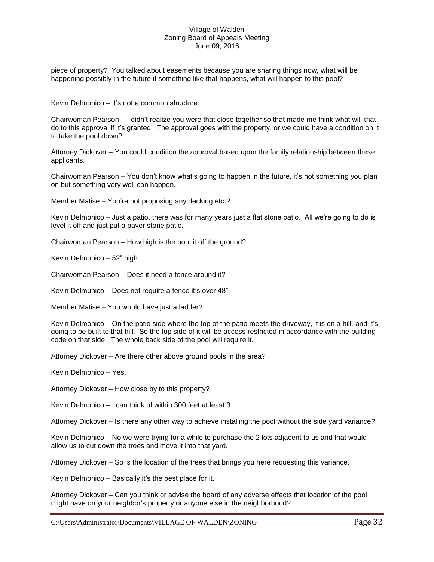piece of property? You talked about easements because you are sharing things now, what will be happening possibly in the future if something like that happens, what will happen to this pool?

Kevin Delmonico – It's not a common structure.

Chairwoman Pearson – I didn't realize you were that close together so that made me think what will that do to this approval if it's granted. The approval goes with the property, or we could have a condition on it to take the pool down?

Attorney Dickover – You could condition the approval based upon the family relationship between these applicants.

Chairwoman Pearson – You don't know what's going to happen in the future, it's not something you plan on but something very well can happen.

Member Matise – You're not proposing any decking etc.?

Kevin Delmonico – Just a patio, there was for many years just a flat stone patio. All we're going to do is level it off and just put a paver stone patio.

Chairwoman Pearson – How high is the pool it off the ground?

Kevin Delmonico – 52" high.

Chairwoman Pearson – Does it need a fence around it?

Kevin Delmunico – Does not require a fence it's over 48".

Member Matise – You would have just a ladder?

Kevin Delmonico – On the patio side where the top of the patio meets the driveway, it is on a hill, and it's going to be built to that hill. So the top side of it will be access restricted in accordance with the building code on that side. The whole back side of the pool will require it.

Attorney Dickover – Are there other above ground pools in the area?

Kevin Delmonico – Yes.

Attorney Dickover – How close by to this property?

Kevin Delmonico – I can think of within 300 feet at least 3.

Attorney Dickover – Is there any other way to achieve installing the pool without the side yard variance?

Kevin Delmonico – No we were trying for a while to purchase the 2 lots adjacent to us and that would allow us to cut down the trees and move it into that yard.

Attorney Dickover – So is the location of the trees that brings you here requesting this variance.

Kevin Delmonico – Basically it's the best place for it.

Attorney Dickover – Can you think or advise the board of any adverse effects that location of the pool might have on your neighbor's property or anyone else in the neighborhood?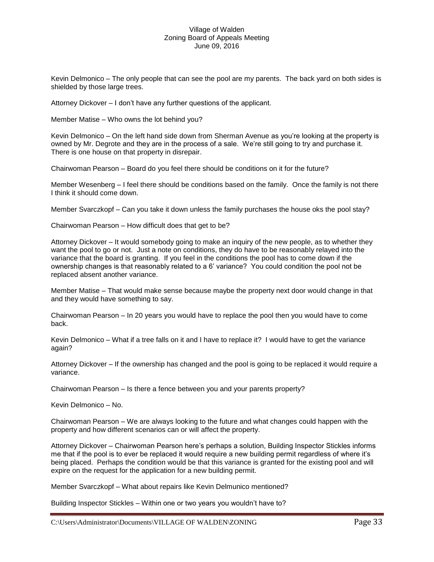Kevin Delmonico – The only people that can see the pool are my parents. The back yard on both sides is shielded by those large trees.

Attorney Dickover – I don't have any further questions of the applicant.

Member Matise – Who owns the lot behind you?

Kevin Delmonico – On the left hand side down from Sherman Avenue as you're looking at the property is owned by Mr. Degrote and they are in the process of a sale. We're still going to try and purchase it. There is one house on that property in disrepair.

Chairwoman Pearson – Board do you feel there should be conditions on it for the future?

Member Wesenberg – I feel there should be conditions based on the family. Once the family is not there I think it should come down.

Member Svarczkopf – Can you take it down unless the family purchases the house oks the pool stay?

Chairwoman Pearson – How difficult does that get to be?

Attorney Dickover – It would somebody going to make an inquiry of the new people, as to whether they want the pool to go or not. Just a note on conditions, they do have to be reasonably relayed into the variance that the board is granting. If you feel in the conditions the pool has to come down if the ownership changes is that reasonably related to a 6' variance? You could condition the pool not be replaced absent another variance.

Member Matise – That would make sense because maybe the property next door would change in that and they would have something to say.

Chairwoman Pearson – In 20 years you would have to replace the pool then you would have to come back.

Kevin Delmonico – What if a tree falls on it and I have to replace it? I would have to get the variance again?

Attorney Dickover – If the ownership has changed and the pool is going to be replaced it would require a variance.

Chairwoman Pearson – Is there a fence between you and your parents property?

Kevin Delmonico – No.

Chairwoman Pearson – We are always looking to the future and what changes could happen with the property and how different scenarios can or will affect the property.

Attorney Dickover – Chairwoman Pearson here's perhaps a solution, Building Inspector Stickles informs me that if the pool is to ever be replaced it would require a new building permit regardless of where it's being placed. Perhaps the condition would be that this variance is granted for the existing pool and will expire on the request for the application for a new building permit.

Member Svarczkopf – What about repairs like Kevin Delmunico mentioned?

Building Inspector Stickles – Within one or two years you wouldn't have to?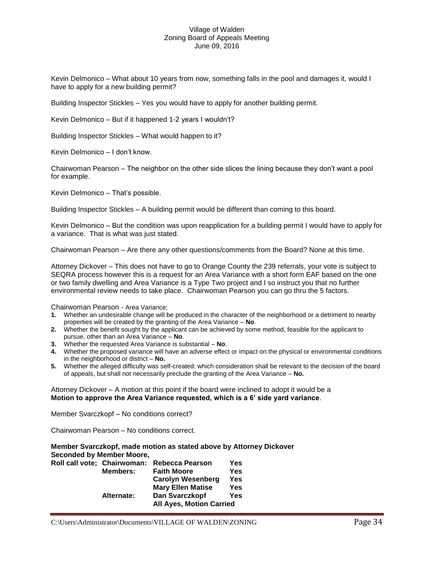Kevin Delmonico – What about 10 years from now, something falls in the pool and damages it, would I have to apply for a new building permit?

Building Inspector Stickles – Yes you would have to apply for another building permit.

Kevin Delmonico – But if it happened 1-2 years I wouldn't?

Building Inspector Stickles – What would happen to it?

Kevin Delmonico – I don't know.

Chairwoman Pearson – The neighbor on the other side slices the lining because they don't want a pool for example.

Kevin Delmonico – That's possible.

Building Inspector Stickles – A building permit would be different than coming to this board.

Kevin Delmonico – But the condition was upon reapplication for a building permit I would have to apply for a variance. That is what was just stated.

Chairwoman Pearson – Are there any other questions/comments from the Board? None at this time.

Attorney Dickover – This does not have to go to Orange County the 239 referrals, your vote is subject to SEQRA process however this is a request for an Area Variance with a short form EAF based on the one or two family dwelling and Area Variance is a Type Two project and I so instruct you that no further environmental review needs to take place. Chairwoman Pearson you can go thru the 5 factors.

Chairwoman Pearson - Area Variance;

- **1.** Whether an undesirable change will be produced in the character of the neighborhood or a detriment to nearby properties will be created by the granting of the Area Variance – **No**.
- **2.** Whether the benefit sought by the applicant can be achieved by some method, feasible for the applicant to pursue, other than an Area Variance – **No**.
- **3.** Whether the requested Area Variance is substantial **No**.
- **4.** Whether the proposed variance will have an adverse effect or impact on the physical or environmental conditions in the neighborhood or district – **No.**
- **5.** Whether the alleged difficulty was self-created: which consideration shall be relevant to the decision of the board of appeals, but shall not necessarily preclude the granting of the Area Variance – **No.**

Attorney Dickover – A motion at this point if the board were inclined to adopt it would be a **Motion to approve the Area Variance requested, which is a 6' side yard variance**.

Member Svarczkopf – No conditions correct?

Chairwoman Pearson – No conditions correct.

**Member Svarczkopf, made motion as stated above by Attorney Dickover Seconded by Member Moore, Roll call vote; Chairwoman: Rebecca Pearson Yes**

| <b>Members:</b> | <b>Faith Moore</b>              | Yes |
|-----------------|---------------------------------|-----|
|                 | <b>Carolyn Wesenberg</b>        | Yes |
|                 | <b>Mary Ellen Matise</b>        | Yes |
| Alternate:      | Dan Svarczkopf                  | Yes |
|                 | <b>All Ayes, Motion Carried</b> |     |